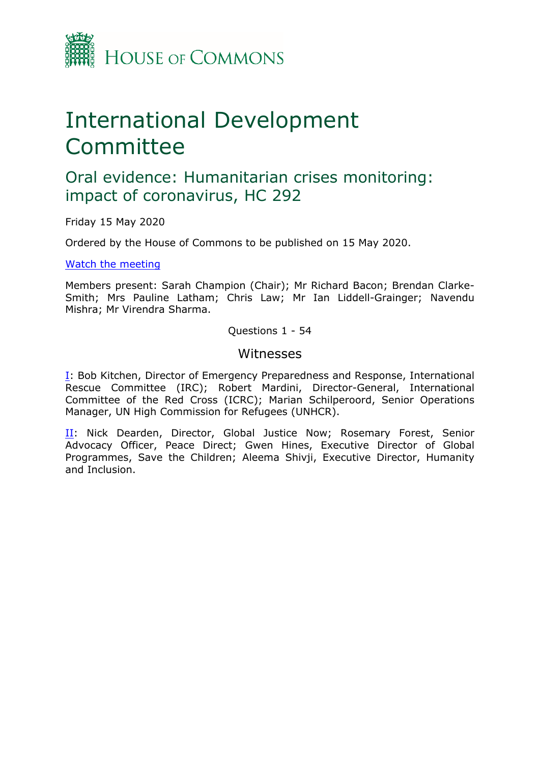

# International Development Committee

## Oral evidence: Humanitarian crises monitoring: impact of coronavirus, HC 292

Friday 15 May 2020

Ordered by the House of Commons to be published on 15 May 2020.

[Watch](https://www.parliamentlive.tv/Event/Index/b5ea2d19-32d3-4283-867a-2c3618249c37) [the](https://www.parliamentlive.tv/Event/Index/b5ea2d19-32d3-4283-867a-2c3618249c37) [meeting](https://www.parliamentlive.tv/Event/Index/b5ea2d19-32d3-4283-867a-2c3618249c37)

Members present: Sarah Champion (Chair); Mr Richard Bacon; Brendan Clarke-Smith; Mrs Pauline Latham; Chris Law; Mr Ian Liddell-Grainger; Navendu Mishra; Mr Virendra Sharma.

Questions 1 - 54

#### **Witnesses**

[I:](#page-1-0) Bob Kitchen, Director of Emergency Preparedness and Response, International Rescue Committee (IRC); Robert Mardini, Director-General, International Committee of the Red Cross (ICRC); Marian Schilperoord, Senior Operations Manager, UN High Commission for Refugees (UNHCR).

[II](#page-17-0): Nick Dearden, Director, Global Justice Now; Rosemary Forest, Senior Advocacy Officer, Peace Direct; Gwen Hines, Executive Director of Global Programmes, Save the Children; Aleema Shivji, Executive Director, Humanity and Inclusion.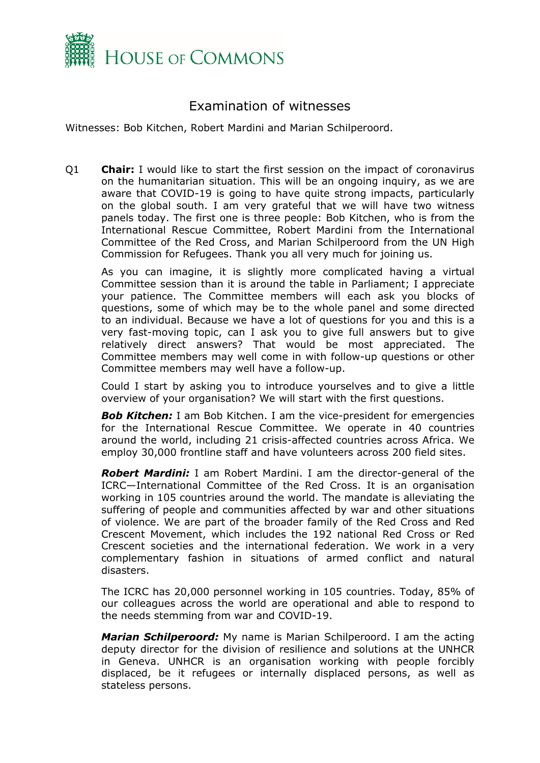

### Examination of witnesses

Witnesses: Bob Kitchen, Robert Mardini and Marian Schilperoord.

<span id="page-1-0"></span>Q1 **Chair:** I would like to start the first session on the impact of coronavirus on the humanitarian situation. This will be an ongoing inquiry, as we are aware that COVID-19 is going to have quite strong impacts, particularly on the global south. I am very grateful that we will have two witness panels today. The first one is three people: Bob Kitchen, who is from the International Rescue Committee, Robert Mardini from the International Committee of the Red Cross, and Marian Schilperoord from the UN High Commission for Refugees. Thank you all very much for joining us.

As you can imagine, it is slightly more complicated having a virtual Committee session than it is around the table in Parliament; I appreciate your patience. The Committee members will each ask you blocks of questions, some of which may be to the whole panel and some directed to an individual. Because we have a lot of questions for you and this is a very fast-moving topic, can I ask you to give full answers but to give relatively direct answers? That would be most appreciated. The Committee members may well come in with follow-up questions or other Committee members may well have a follow-up.

Could I start by asking you to introduce yourselves and to give a little overview of your organisation? We will start with the first questions.

**Bob Kitchen:** I am Bob Kitchen. I am the vice-president for emergencies for the International Rescue Committee. We operate in 40 countries around the world, including 21 crisis-affected countries across Africa. We employ 30,000 frontline staff and have volunteers across 200 field sites.

*Robert Mardini:* I am Robert Mardini. I am the director-general of the ICRC—International Committee of the Red Cross. It is an organisation working in 105 countries around the world. The mandate is alleviating the suffering of people and communities affected by war and other situations of violence. We are part of the broader family of the Red Cross and Red Crescent Movement, which includes the 192 national Red Cross or Red Crescent societies and the international federation. We work in a very complementary fashion in situations of armed conflict and natural disasters.

The ICRC has 20,000 personnel working in 105 countries. Today, 85% of our colleagues across the world are operational and able to respond to the needs stemming from war and COVID-19.

*Marian Schilperoord:* My name is Marian Schilperoord. I am the acting deputy director for the division of resilience and solutions at the UNHCR in Geneva. UNHCR is an organisation working with people forcibly displaced, be it refugees or internally displaced persons, as well as stateless persons.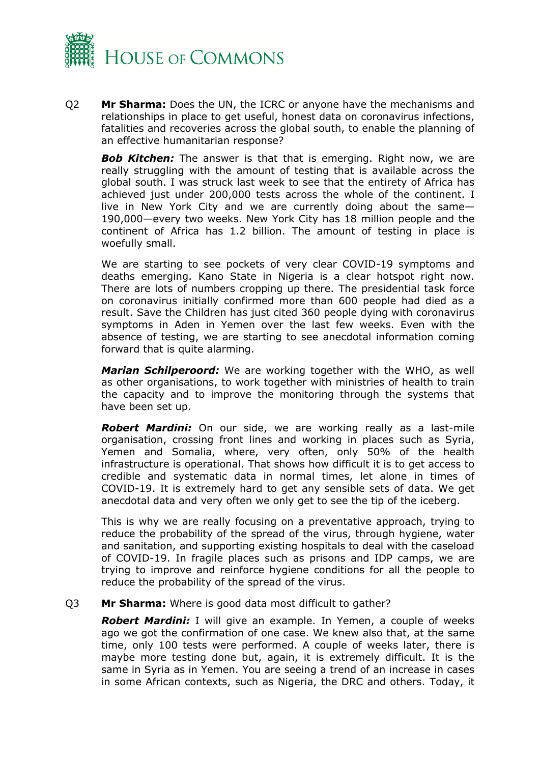

Q2 **Mr Sharma:** Does the UN, the ICRC or anyone have the mechanisms and relationships in place to get useful, honest data on coronavirus infections, fatalities and recoveries across the global south, to enable the planning of an effective humanitarian response?

**Bob Kitchen:** The answer is that that is emerging. Right now, we are really struggling with the amount of testing that is available across the global south. I was struck last week to see that the entirety of Africa has achieved just under 200,000 tests across the whole of the continent. I live in New York City and we are currently doing about the same— 190,000—every two weeks. New York City has 18 million people and the continent of Africa has 1.2 billion. The amount of testing in place is woefully small.

We are starting to see pockets of very clear COVID-19 symptoms and deaths emerging. Kano State in Nigeria is a clear hotspot right now. There are lots of numbers cropping up there. The presidential task force on coronavirus initially confirmed more than 600 people had died as a result. Save the Children has just cited 360 people dying with coronavirus symptoms in Aden in Yemen over the last few weeks. Even with the absence of testing, we are starting to see anecdotal information coming forward that is quite alarming.

*Marian Schilperoord:* We are working together with the WHO, as well as other organisations, to work together with ministries of health to train the capacity and to improve the monitoring through the systems that have been set up.

*Robert Mardini:* On our side, we are working really as a last-mile organisation, crossing front lines and working in places such as Syria, Yemen and Somalia, where, very often, only 50% of the health infrastructure is operational. That shows how difficult it is to get access to credible and systematic data in normal times, let alone in times of COVID-19. It is extremely hard to get any sensible sets of data. We get anecdotal data and very often we only get to see the tip of the iceberg.

This is why we are really focusing on a preventative approach, trying to reduce the probability of the spread of the virus, through hygiene, water and sanitation, and supporting existing hospitals to deal with the caseload of COVID-19. In fragile places such as prisons and IDP camps, we are trying to improve and reinforce hygiene conditions for all the people to reduce the probability of the spread of the virus.

Q3 **Mr Sharma:** Where is good data most difficult to gather?

*Robert Mardini:* I will give an example. In Yemen, a couple of weeks ago we got the confirmation of one case. We knew also that, at the same time, only 100 tests were performed. A couple of weeks later, there is maybe more testing done but, again, it is extremely difficult. It is the same in Syria as in Yemen. You are seeing a trend of an increase in cases in some African contexts, such as Nigeria, the DRC and others. Today, it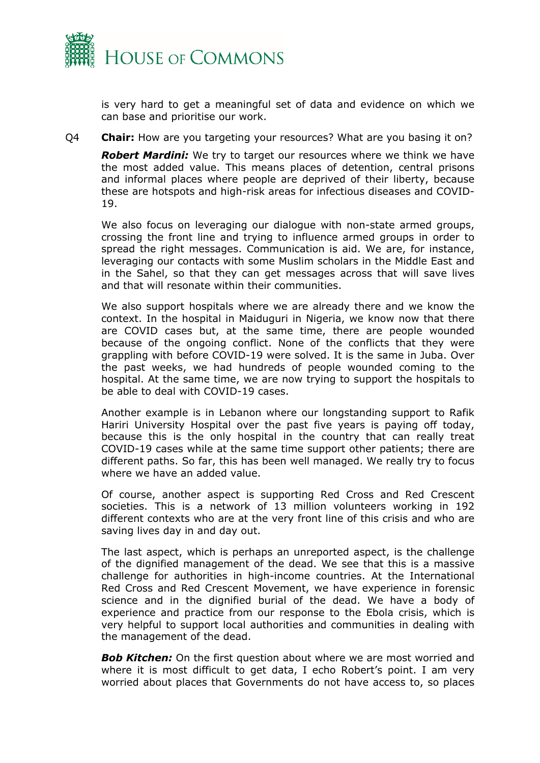

is very hard to get a meaningful set of data and evidence on which we can base and prioritise our work.

Q4 **Chair:** How are you targeting your resources? What are you basing it on?

*Robert Mardini:* We try to target our resources where we think we have the most added value. This means places of detention, central prisons and informal places where people are deprived of their liberty, because these are hotspots and high-risk areas for infectious diseases and COVID-19.

We also focus on leveraging our dialogue with non-state armed groups, crossing the front line and trying to influence armed groups in order to spread the right messages. Communication is aid. We are, for instance, leveraging our contacts with some Muslim scholars in the Middle East and in the Sahel, so that they can get messages across that will save lives and that will resonate within their communities.

We also support hospitals where we are already there and we know the context. In the hospital in Maiduguri in Nigeria, we know now that there are COVID cases but, at the same time, there are people wounded because of the ongoing conflict. None of the conflicts that they were grappling with before COVID-19 were solved. It is the same in Juba. Over the past weeks, we had hundreds of people wounded coming to the hospital. At the same time, we are now trying to support the hospitals to be able to deal with COVID-19 cases.

Another example is in Lebanon where our longstanding support to Rafik Hariri University Hospital over the past five years is paying off today, because this is the only hospital in the country that can really treat COVID-19 cases while at the same time support other patients; there are different paths. So far, this has been well managed. We really try to focus where we have an added value.

Of course, another aspect is supporting Red Cross and Red Crescent societies. This is a network of 13 million volunteers working in 192 different contexts who are at the very front line of this crisis and who are saving lives day in and day out.

The last aspect, which is perhaps an unreported aspect, is the challenge of the dignified management of the dead. We see that this is a massive challenge for authorities in high-income countries. At the International Red Cross and Red Crescent Movement, we have experience in forensic science and in the dignified burial of the dead. We have a body of experience and practice from our response to the Ebola crisis, which is very helpful to support local authorities and communities in dealing with the management of the dead.

**Bob Kitchen:** On the first question about where we are most worried and where it is most difficult to get data, I echo Robert's point. I am very worried about places that Governments do not have access to, so places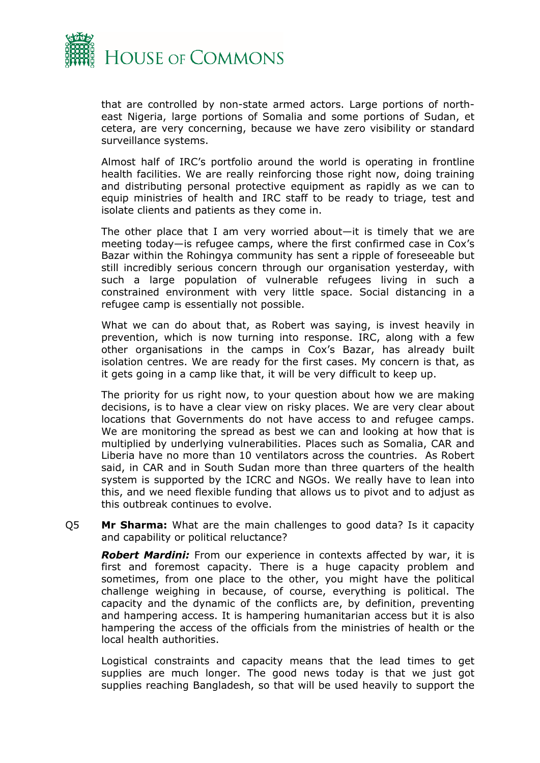

that are controlled by non-state armed actors. Large portions of northeast Nigeria, large portions of Somalia and some portions of Sudan, et cetera, are very concerning, because we have zero visibility or standard surveillance systems.

Almost half of IRC's portfolio around the world is operating in frontline health facilities. We are really reinforcing those right now, doing training and distributing personal protective equipment as rapidly as we can to equip ministries of health and IRC staff to be ready to triage, test and isolate clients and patients as they come in.

The other place that I am very worried about—it is timely that we are meeting today—is refugee camps, where the first confirmed case in Cox's Bazar within the Rohingya community has sent a ripple of foreseeable but still incredibly serious concern through our organisation yesterday, with such a large population of vulnerable refugees living in such a constrained environment with very little space. Social distancing in a refugee camp is essentially not possible.

What we can do about that, as Robert was saying, is invest heavily in prevention, which is now turning into response. IRC, along with a few other organisations in the camps in Cox's Bazar, has already built isolation centres. We are ready for the first cases. My concern is that, as it gets going in a camp like that, it will be very difficult to keep up.

The priority for us right now, to your question about how we are making decisions, is to have a clear view on risky places. We are very clear about locations that Governments do not have access to and refugee camps. We are monitoring the spread as best we can and looking at how that is multiplied by underlying vulnerabilities. Places such as Somalia, CAR and Liberia have no more than 10 ventilators across the countries. As Robert said, in CAR and in South Sudan more than three quarters of the health system is supported by the ICRC and NGOs. We really have to lean into this, and we need flexible funding that allows us to pivot and to adjust as this outbreak continues to evolve.

Q5 **Mr Sharma:** What are the main challenges to good data? Is it capacity and capability or political reluctance?

*Robert Mardini:* From our experience in contexts affected by war, it is first and foremost capacity. There is a huge capacity problem and sometimes, from one place to the other, you might have the political challenge weighing in because, of course, everything is political. The capacity and the dynamic of the conflicts are, by definition, preventing and hampering access. It is hampering humanitarian access but it is also hampering the access of the officials from the ministries of health or the local health authorities.

Logistical constraints and capacity means that the lead times to get supplies are much longer. The good news today is that we just got supplies reaching Bangladesh, so that will be used heavily to support the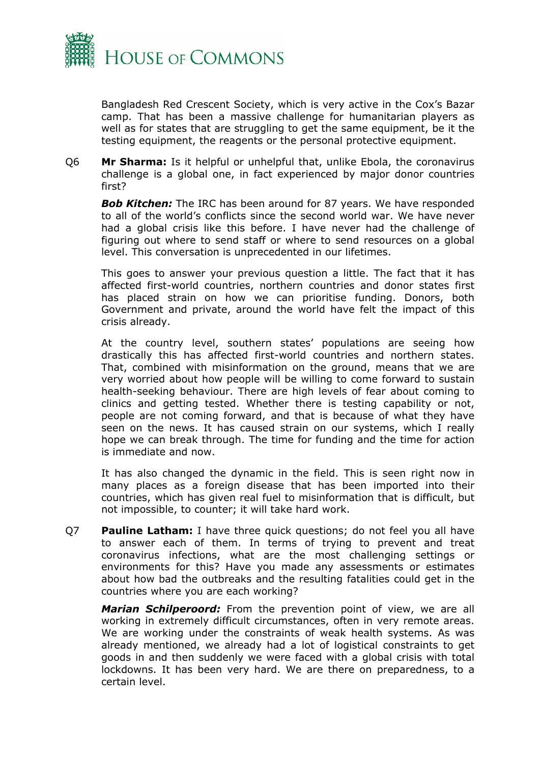

Bangladesh Red Crescent Society, which is very active in the Cox's Bazar camp. That has been a massive challenge for humanitarian players as well as for states that are struggling to get the same equipment, be it the testing equipment, the reagents or the personal protective equipment.

Q6 **Mr Sharma:** Is it helpful or unhelpful that, unlike Ebola, the coronavirus challenge is a global one, in fact experienced by major donor countries first?

*Bob Kitchen:* The IRC has been around for 87 years. We have responded to all of the world's conflicts since the second world war. We have never had a global crisis like this before. I have never had the challenge of figuring out where to send staff or where to send resources on a global level. This conversation is unprecedented in our lifetimes.

This goes to answer your previous question a little. The fact that it has affected first-world countries, northern countries and donor states first has placed strain on how we can prioritise funding. Donors, both Government and private, around the world have felt the impact of this crisis already.

At the country level, southern states' populations are seeing how drastically this has affected first-world countries and northern states. That, combined with misinformation on the ground, means that we are very worried about how people will be willing to come forward to sustain health-seeking behaviour. There are high levels of fear about coming to clinics and getting tested. Whether there is testing capability or not, people are not coming forward, and that is because of what they have seen on the news. It has caused strain on our systems, which I really hope we can break through. The time for funding and the time for action is immediate and now.

It has also changed the dynamic in the field. This is seen right now in many places as a foreign disease that has been imported into their countries, which has given real fuel to misinformation that is difficult, but not impossible, to counter; it will take hard work.

Q7 **Pauline Latham:** I have three quick questions; do not feel you all have to answer each of them. In terms of trying to prevent and treat coronavirus infections, what are the most challenging settings or environments for this? Have you made any assessments or estimates about how bad the outbreaks and the resulting fatalities could get in the countries where you are each working?

*Marian Schilperoord:* From the prevention point of view, we are all working in extremely difficult circumstances, often in very remote areas. We are working under the constraints of weak health systems. As was already mentioned, we already had a lot of logistical constraints to get goods in and then suddenly we were faced with a global crisis with total lockdowns. It has been very hard. We are there on preparedness, to a certain level.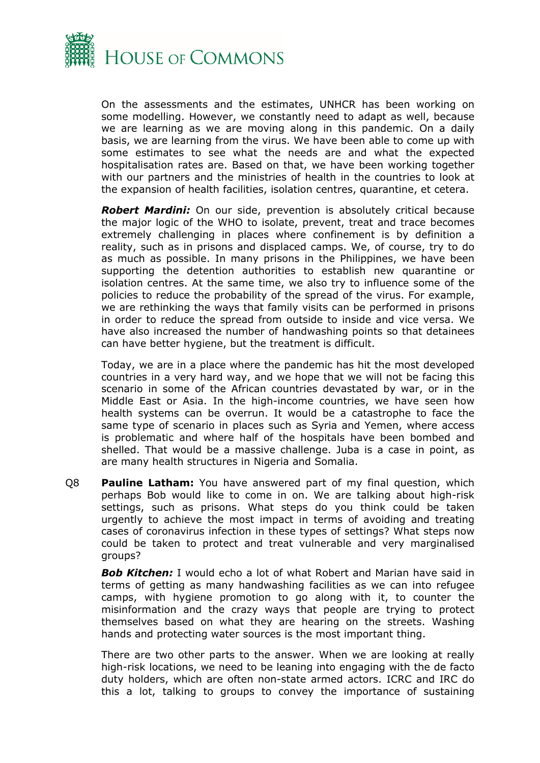

On the assessments and the estimates, UNHCR has been working on some modelling. However, we constantly need to adapt as well, because we are learning as we are moving along in this pandemic. On a daily basis, we are learning from the virus. We have been able to come up with some estimates to see what the needs are and what the expected hospitalisation rates are. Based on that, we have been working together with our partners and the ministries of health in the countries to look at the expansion of health facilities, isolation centres, quarantine, et cetera.

*Robert Mardini:* On our side, prevention is absolutely critical because the major logic of the WHO to isolate, prevent, treat and trace becomes extremely challenging in places where confinement is by definition a reality, such as in prisons and displaced camps. We, of course, try to do as much as possible. In many prisons in the Philippines, we have been supporting the detention authorities to establish new quarantine or isolation centres. At the same time, we also try to influence some of the policies to reduce the probability of the spread of the virus. For example, we are rethinking the ways that family visits can be performed in prisons in order to reduce the spread from outside to inside and vice versa. We have also increased the number of handwashing points so that detainees can have better hygiene, but the treatment is difficult.

Today, we are in a place where the pandemic has hit the most developed countries in a very hard way, and we hope that we will not be facing this scenario in some of the African countries devastated by war, or in the Middle East or Asia. In the high-income countries, we have seen how health systems can be overrun. It would be a catastrophe to face the same type of scenario in places such as Syria and Yemen, where access is problematic and where half of the hospitals have been bombed and shelled. That would be a massive challenge. Juba is a case in point, as are many health structures in Nigeria and Somalia.

Q8 **Pauline Latham:** You have answered part of my final question, which perhaps Bob would like to come in on. We are talking about high-risk settings, such as prisons. What steps do you think could be taken urgently to achieve the most impact in terms of avoiding and treating cases of coronavirus infection in these types of settings? What steps now could be taken to protect and treat vulnerable and very marginalised groups?

*Bob Kitchen:* I would echo a lot of what Robert and Marian have said in terms of getting as many handwashing facilities as we can into refugee camps, with hygiene promotion to go along with it, to counter the misinformation and the crazy ways that people are trying to protect themselves based on what they are hearing on the streets. Washing hands and protecting water sources is the most important thing.

There are two other parts to the answer. When we are looking at really high-risk locations, we need to be leaning into engaging with the de facto duty holders, which are often non-state armed actors. ICRC and IRC do this a lot, talking to groups to convey the importance of sustaining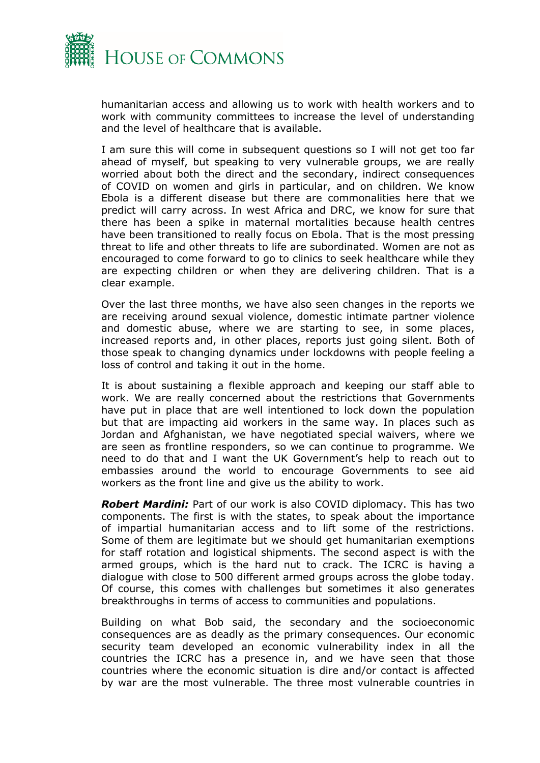

humanitarian access and allowing us to work with health workers and to work with community committees to increase the level of understanding and the level of healthcare that is available.

I am sure this will come in subsequent questions so I will not get too far ahead of myself, but speaking to very vulnerable groups, we are really worried about both the direct and the secondary, indirect consequences of COVID on women and girls in particular, and on children. We know Ebola is a different disease but there are commonalities here that we predict will carry across. In west Africa and DRC, we know for sure that there has been a spike in maternal mortalities because health centres have been transitioned to really focus on Ebola. That is the most pressing threat to life and other threats to life are subordinated. Women are not as encouraged to come forward to go to clinics to seek healthcare while they are expecting children or when they are delivering children. That is a clear example.

Over the last three months, we have also seen changes in the reports we are receiving around sexual violence, domestic intimate partner violence and domestic abuse, where we are starting to see, in some places, increased reports and, in other places, reports just going silent. Both of those speak to changing dynamics under lockdowns with people feeling a loss of control and taking it out in the home.

It is about sustaining a flexible approach and keeping our staff able to work. We are really concerned about the restrictions that Governments have put in place that are well intentioned to lock down the population but that are impacting aid workers in the same way. In places such as Jordan and Afghanistan, we have negotiated special waivers, where we are seen as frontline responders, so we can continue to programme. We need to do that and I want the UK Government's help to reach out to embassies around the world to encourage Governments to see aid workers as the front line and give us the ability to work.

*Robert Mardini:* Part of our work is also COVID diplomacy. This has two components. The first is with the states, to speak about the importance of impartial humanitarian access and to lift some of the restrictions. Some of them are legitimate but we should get humanitarian exemptions for staff rotation and logistical shipments. The second aspect is with the armed groups, which is the hard nut to crack. The ICRC is having a dialogue with close to 500 different armed groups across the globe today. Of course, this comes with challenges but sometimes it also generates breakthroughs in terms of access to communities and populations.

Building on what Bob said, the secondary and the socioeconomic consequences are as deadly as the primary consequences. Our economic security team developed an economic vulnerability index in all the countries the ICRC has a presence in, and we have seen that those countries where the economic situation is dire and/or contact is affected by war are the most vulnerable. The three most vulnerable countries in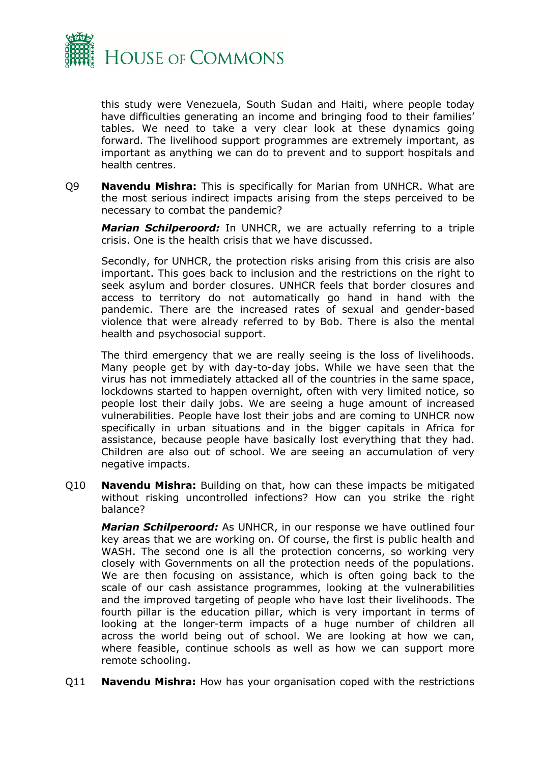

this study were Venezuela, South Sudan and Haiti, where people today have difficulties generating an income and bringing food to their families' tables. We need to take a very clear look at these dynamics going forward. The livelihood support programmes are extremely important, as important as anything we can do to prevent and to support hospitals and health centres.

Q9 **Navendu Mishra:** This is specifically for Marian from UNHCR. What are the most serious indirect impacts arising from the steps perceived to be necessary to combat the pandemic?

*Marian Schilperoord:* In UNHCR, we are actually referring to a triple crisis. One is the health crisis that we have discussed.

Secondly, for UNHCR, the protection risks arising from this crisis are also important. This goes back to inclusion and the restrictions on the right to seek asylum and border closures. UNHCR feels that border closures and access to territory do not automatically go hand in hand with the pandemic. There are the increased rates of sexual and gender-based violence that were already referred to by Bob. There is also the mental health and psychosocial support.

The third emergency that we are really seeing is the loss of livelihoods. Many people get by with day-to-day jobs. While we have seen that the virus has not immediately attacked all of the countries in the same space, lockdowns started to happen overnight, often with very limited notice, so people lost their daily jobs. We are seeing a huge amount of increased vulnerabilities. People have lost their jobs and are coming to UNHCR now specifically in urban situations and in the bigger capitals in Africa for assistance, because people have basically lost everything that they had. Children are also out of school. We are seeing an accumulation of very negative impacts.

Q10 **Navendu Mishra:** Building on that, how can these impacts be mitigated without risking uncontrolled infections? How can you strike the right balance?

*Marian Schilperoord:* As UNHCR, in our response we have outlined four key areas that we are working on. Of course, the first is public health and WASH. The second one is all the protection concerns, so working very closely with Governments on all the protection needs of the populations. We are then focusing on assistance, which is often going back to the scale of our cash assistance programmes, looking at the vulnerabilities and the improved targeting of people who have lost their livelihoods. The fourth pillar is the education pillar, which is very important in terms of looking at the longer-term impacts of a huge number of children all across the world being out of school. We are looking at how we can, where feasible, continue schools as well as how we can support more remote schooling.

Q11 **Navendu Mishra:** How has your organisation coped with the restrictions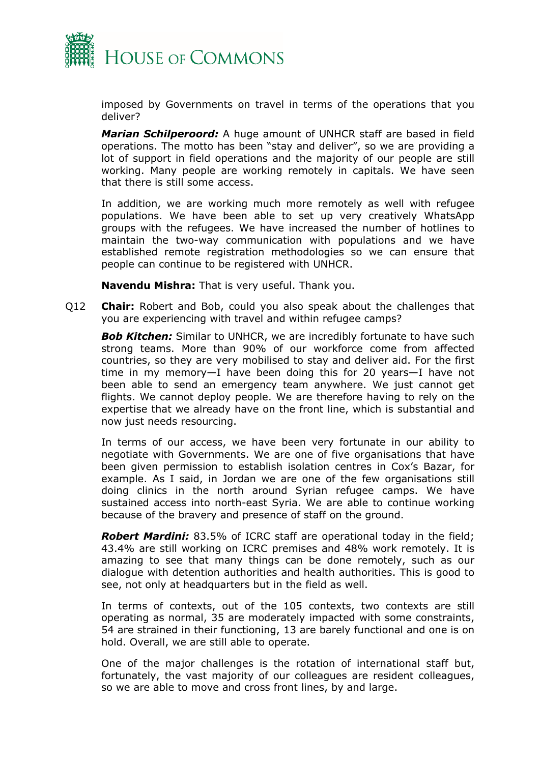

imposed by Governments on travel in terms of the operations that you deliver?

*Marian Schilperoord:* A huge amount of UNHCR staff are based in field operations. The motto has been "stay and deliver", so we are providing a lot of support in field operations and the majority of our people are still working. Many people are working remotely in capitals. We have seen that there is still some access.

In addition, we are working much more remotely as well with refugee populations. We have been able to set up very creatively WhatsApp groups with the refugees. We have increased the number of hotlines to maintain the two-way communication with populations and we have established remote registration methodologies so we can ensure that people can continue to be registered with UNHCR.

**Navendu Mishra:** That is very useful. Thank you.

Q12 **Chair:** Robert and Bob, could you also speak about the challenges that you are experiencing with travel and within refugee camps?

**Bob Kitchen:** Similar to UNHCR, we are incredibly fortunate to have such strong teams. More than 90% of our workforce come from affected countries, so they are very mobilised to stay and deliver aid. For the first time in my memory—I have been doing this for 20 years—I have not been able to send an emergency team anywhere. We just cannot get flights. We cannot deploy people. We are therefore having to rely on the expertise that we already have on the front line, which is substantial and now just needs resourcing.

In terms of our access, we have been very fortunate in our ability to negotiate with Governments. We are one of five organisations that have been given permission to establish isolation centres in Cox's Bazar, for example. As I said, in Jordan we are one of the few organisations still doing clinics in the north around Syrian refugee camps. We have sustained access into north-east Syria. We are able to continue working because of the bravery and presence of staff on the ground.

*Robert Mardini:* 83.5% of ICRC staff are operational today in the field; 43.4% are still working on ICRC premises and 48% work remotely. It is amazing to see that many things can be done remotely, such as our dialogue with detention authorities and health authorities. This is good to see, not only at headquarters but in the field as well.

In terms of contexts, out of the 105 contexts, two contexts are still operating as normal, 35 are moderately impacted with some constraints, 54 are strained in their functioning, 13 are barely functional and one is on hold. Overall, we are still able to operate.

One of the major challenges is the rotation of international staff but, fortunately, the vast majority of our colleagues are resident colleagues, so we are able to move and cross front lines, by and large.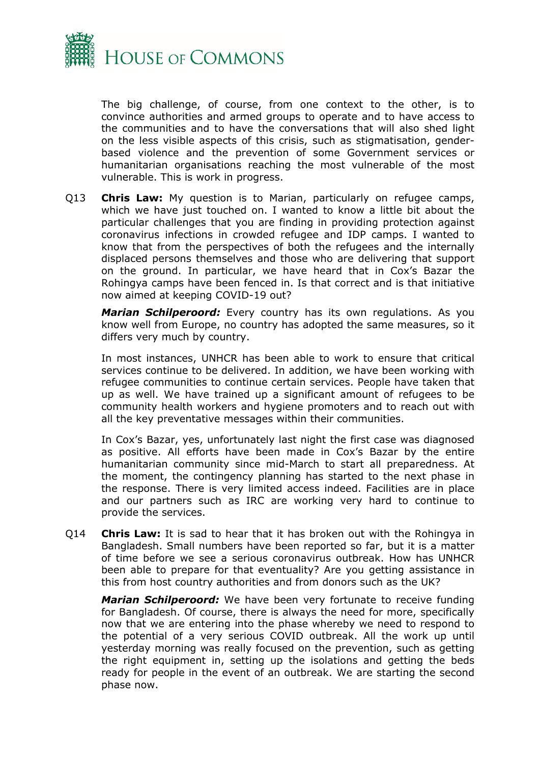

The big challenge, of course, from one context to the other, is to convince authorities and armed groups to operate and to have access to the communities and to have the conversations that will also shed light on the less visible aspects of this crisis, such as stigmatisation, genderbased violence and the prevention of some Government services or humanitarian organisations reaching the most vulnerable of the most vulnerable. This is work in progress.

Q13 **Chris Law:** My question is to Marian, particularly on refugee camps, which we have just touched on. I wanted to know a little bit about the particular challenges that you are finding in providing protection against coronavirus infections in crowded refugee and IDP camps. I wanted to know that from the perspectives of both the refugees and the internally displaced persons themselves and those who are delivering that support on the ground. In particular, we have heard that in Cox's Bazar the Rohingya camps have been fenced in. Is that correct and is that initiative now aimed at keeping COVID-19 out?

*Marian Schilperoord:* Every country has its own regulations. As you know well from Europe, no country has adopted the same measures, so it differs very much by country.

In most instances, UNHCR has been able to work to ensure that critical services continue to be delivered. In addition, we have been working with refugee communities to continue certain services. People have taken that up as well. We have trained up a significant amount of refugees to be community health workers and hygiene promoters and to reach out with all the key preventative messages within their communities.

In Cox's Bazar, yes, unfortunately last night the first case was diagnosed as positive. All efforts have been made in Cox's Bazar by the entire humanitarian community since mid-March to start all preparedness. At the moment, the contingency planning has started to the next phase in the response. There is very limited access indeed. Facilities are in place and our partners such as IRC are working very hard to continue to provide the services.

Q14 **Chris Law:** It is sad to hear that it has broken out with the Rohingya in Bangladesh. Small numbers have been reported so far, but it is a matter of time before we see a serious coronavirus outbreak. How has UNHCR been able to prepare for that eventuality? Are you getting assistance in this from host country authorities and from donors such as the UK?

*Marian Schilperoord:* We have been very fortunate to receive funding for Bangladesh. Of course, there is always the need for more, specifically now that we are entering into the phase whereby we need to respond to the potential of a very serious COVID outbreak. All the work up until yesterday morning was really focused on the prevention, such as getting the right equipment in, setting up the isolations and getting the beds ready for people in the event of an outbreak. We are starting the second phase now.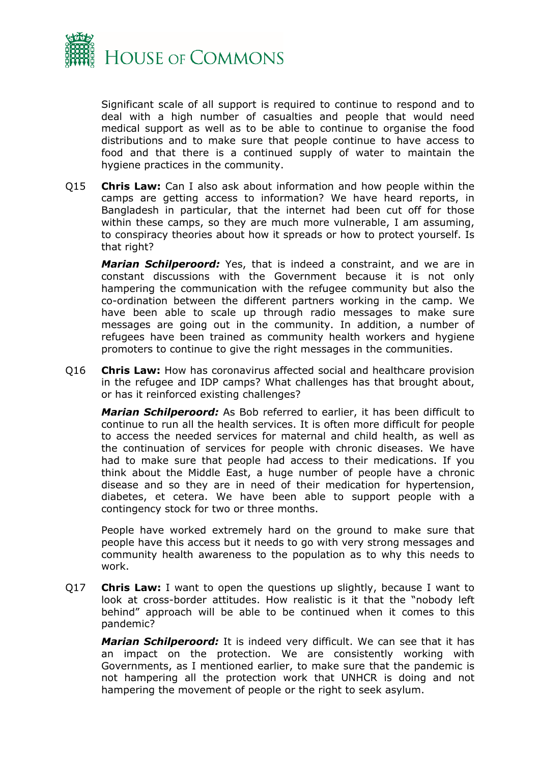

Significant scale of all support is required to continue to respond and to deal with a high number of casualties and people that would need medical support as well as to be able to continue to organise the food distributions and to make sure that people continue to have access to food and that there is a continued supply of water to maintain the hygiene practices in the community.

Q15 **Chris Law:** Can I also ask about information and how people within the camps are getting access to information? We have heard reports, in Bangladesh in particular, that the internet had been cut off for those within these camps, so they are much more vulnerable, I am assuming, to conspiracy theories about how it spreads or how to protect yourself. Is that right?

*Marian Schilperoord:* Yes, that is indeed a constraint, and we are in constant discussions with the Government because it is not only hampering the communication with the refugee community but also the co-ordination between the different partners working in the camp. We have been able to scale up through radio messages to make sure messages are going out in the community. In addition, a number of refugees have been trained as community health workers and hygiene promoters to continue to give the right messages in the communities.

Q16 **Chris Law:** How has coronavirus affected social and healthcare provision in the refugee and IDP camps? What challenges has that brought about, or has it reinforced existing challenges?

*Marian Schilperoord:* As Bob referred to earlier, it has been difficult to continue to run all the health services. It is often more difficult for people to access the needed services for maternal and child health, as well as the continuation of services for people with chronic diseases. We have had to make sure that people had access to their medications. If you think about the Middle East, a huge number of people have a chronic disease and so they are in need of their medication for hypertension, diabetes, et cetera. We have been able to support people with a contingency stock for two or three months.

People have worked extremely hard on the ground to make sure that people have this access but it needs to go with very strong messages and community health awareness to the population as to why this needs to work.

Q17 **Chris Law:** I want to open the questions up slightly, because I want to look at cross-border attitudes. How realistic is it that the "nobody left behind" approach will be able to be continued when it comes to this pandemic?

*Marian Schilperoord:* It is indeed very difficult. We can see that it has an impact on the protection. We are consistently working with Governments, as I mentioned earlier, to make sure that the pandemic is not hampering all the protection work that UNHCR is doing and not hampering the movement of people or the right to seek asylum.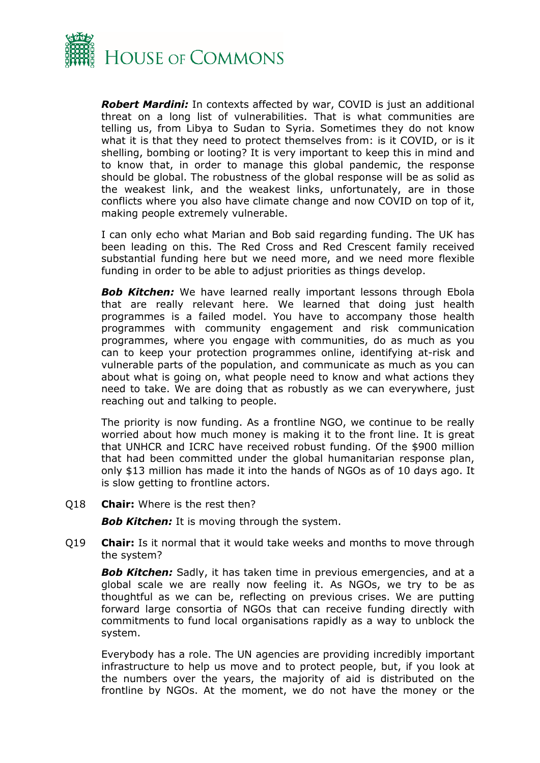

*Robert Mardini:* In contexts affected by war, COVID is just an additional threat on a long list of vulnerabilities. That is what communities are telling us, from Libya to Sudan to Syria. Sometimes they do not know what it is that they need to protect themselves from: is it COVID, or is it shelling, bombing or looting? It is very important to keep this in mind and to know that, in order to manage this global pandemic, the response should be global. The robustness of the global response will be as solid as the weakest link, and the weakest links, unfortunately, are in those conflicts where you also have climate change and now COVID on top of it, making people extremely vulnerable.

I can only echo what Marian and Bob said regarding funding. The UK has been leading on this. The Red Cross and Red Crescent family received substantial funding here but we need more, and we need more flexible funding in order to be able to adjust priorities as things develop.

**Bob Kitchen:** We have learned really important lessons through Ebola that are really relevant here. We learned that doing just health programmes is a failed model. You have to accompany those health programmes with community engagement and risk communication programmes, where you engage with communities, do as much as you can to keep your protection programmes online, identifying at-risk and vulnerable parts of the population, and communicate as much as you can about what is going on, what people need to know and what actions they need to take. We are doing that as robustly as we can everywhere, just reaching out and talking to people.

The priority is now funding. As a frontline NGO, we continue to be really worried about how much money is making it to the front line. It is great that UNHCR and ICRC have received robust funding. Of the \$900 million that had been committed under the global humanitarian response plan, only \$13 million has made it into the hands of NGOs as of 10 days ago. It is slow getting to frontline actors.

Q18 **Chair:** Where is the rest then?

*Bob Kitchen:* It is moving through the system.

Q19 **Chair:** Is it normal that it would take weeks and months to move through the system?

*Bob Kitchen:* Sadly, it has taken time in previous emergencies, and at a global scale we are really now feeling it. As NGOs, we try to be as thoughtful as we can be, reflecting on previous crises. We are putting forward large consortia of NGOs that can receive funding directly with commitments to fund local organisations rapidly as a way to unblock the system.

Everybody has a role. The UN agencies are providing incredibly important infrastructure to help us move and to protect people, but, if you look at the numbers over the years, the majority of aid is distributed on the frontline by NGOs. At the moment, we do not have the money or the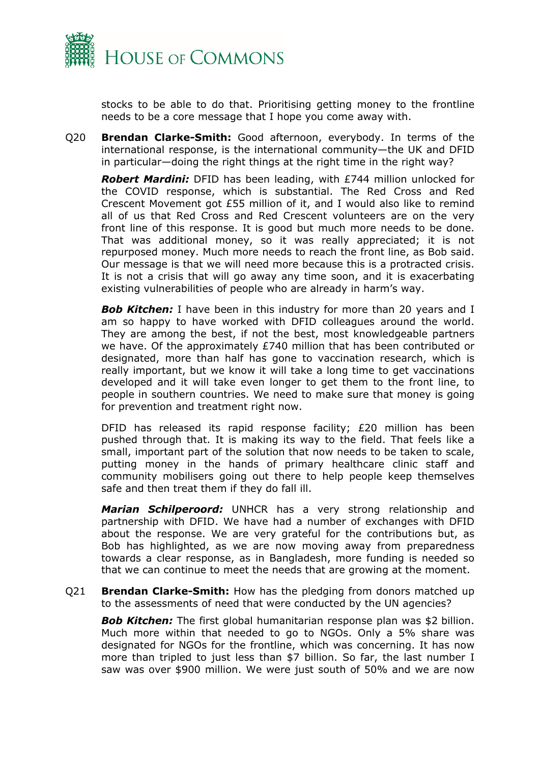

stocks to be able to do that. Prioritising getting money to the frontline needs to be a core message that I hope you come away with.

Q20 **Brendan Clarke-Smith:** Good afternoon, everybody. In terms of the international response, is the international community—the UK and DFID in particular—doing the right things at the right time in the right way?

*Robert Mardini:* DFID has been leading, with £744 million unlocked for the COVID response, which is substantial. The Red Cross and Red Crescent Movement got £55 million of it, and I would also like to remind all of us that Red Cross and Red Crescent volunteers are on the very front line of this response. It is good but much more needs to be done. That was additional money, so it was really appreciated; it is not repurposed money. Much more needs to reach the front line, as Bob said. Our message is that we will need more because this is a protracted crisis. It is not a crisis that will go away any time soon, and it is exacerbating existing vulnerabilities of people who are already in harm's way.

**Bob Kitchen:** I have been in this industry for more than 20 years and I am so happy to have worked with DFID colleagues around the world. They are among the best, if not the best, most knowledgeable partners we have. Of the approximately £740 million that has been contributed or designated, more than half has gone to vaccination research, which is really important, but we know it will take a long time to get vaccinations developed and it will take even longer to get them to the front line, to people in southern countries. We need to make sure that money is going for prevention and treatment right now.

DFID has released its rapid response facility; £20 million has been pushed through that. It is making its way to the field. That feels like a small, important part of the solution that now needs to be taken to scale, putting money in the hands of primary healthcare clinic staff and community mobilisers going out there to help people keep themselves safe and then treat them if they do fall ill.

*Marian Schilperoord:* UNHCR has a very strong relationship and partnership with DFID. We have had a number of exchanges with DFID about the response. We are very grateful for the contributions but, as Bob has highlighted, as we are now moving away from preparedness towards a clear response, as in Bangladesh, more funding is needed so that we can continue to meet the needs that are growing at the moment.

Q21 **Brendan Clarke-Smith:** How has the pledging from donors matched up to the assessments of need that were conducted by the UN agencies?

**Bob Kitchen:** The first global humanitarian response plan was \$2 billion. Much more within that needed to go to NGOs. Only a 5% share was designated for NGOs for the frontline, which was concerning. It has now more than tripled to just less than \$7 billion. So far, the last number I saw was over \$900 million. We were just south of 50% and we are now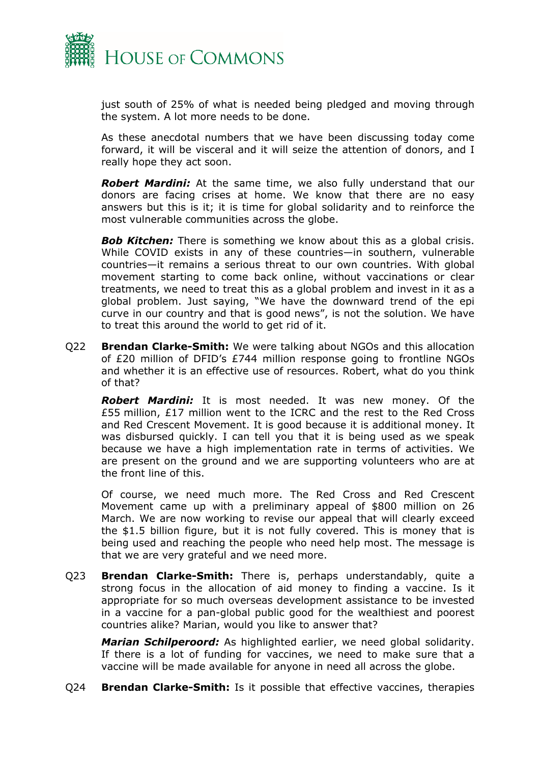

just south of 25% of what is needed being pledged and moving through the system. A lot more needs to be done.

As these anecdotal numbers that we have been discussing today come forward, it will be visceral and it will seize the attention of donors, and I really hope they act soon.

*Robert Mardini:* At the same time, we also fully understand that our donors are facing crises at home. We know that there are no easy answers but this is it; it is time for global solidarity and to reinforce the most vulnerable communities across the globe.

**Bob Kitchen:** There is something we know about this as a global crisis. While COVID exists in any of these countries—in southern, vulnerable countries—it remains a serious threat to our own countries. With global movement starting to come back online, without vaccinations or clear treatments, we need to treat this as a global problem and invest in it as a global problem. Just saying, "We have the downward trend of the epi curve in our country and that is good news", is not the solution. We have to treat this around the world to get rid of it.

Q22 **Brendan Clarke-Smith:** We were talking about NGOs and this allocation of £20 million of DFID's £744 million response going to frontline NGOs and whether it is an effective use of resources. Robert, what do you think of that?

*Robert Mardini:* It is most needed. It was new money. Of the £55 million, £17 million went to the ICRC and the rest to the Red Cross and Red Crescent Movement. It is good because it is additional money. It was disbursed quickly. I can tell you that it is being used as we speak because we have a high implementation rate in terms of activities. We are present on the ground and we are supporting volunteers who are at the front line of this.

Of course, we need much more. The Red Cross and Red Crescent Movement came up with a preliminary appeal of \$800 million on 26 March. We are now working to revise our appeal that will clearly exceed the \$1.5 billion figure, but it is not fully covered. This is money that is being used and reaching the people who need help most. The message is that we are very grateful and we need more.

Q23 **Brendan Clarke-Smith:** There is, perhaps understandably, quite a strong focus in the allocation of aid money to finding a vaccine. Is it appropriate for so much overseas development assistance to be invested in a vaccine for a pan-global public good for the wealthiest and poorest countries alike? Marian, would you like to answer that?

*Marian Schilperoord:* As highlighted earlier, we need global solidarity. If there is a lot of funding for vaccines, we need to make sure that a vaccine will be made available for anyone in need all across the globe.

Q24 **Brendan Clarke-Smith:** Is it possible that effective vaccines, therapies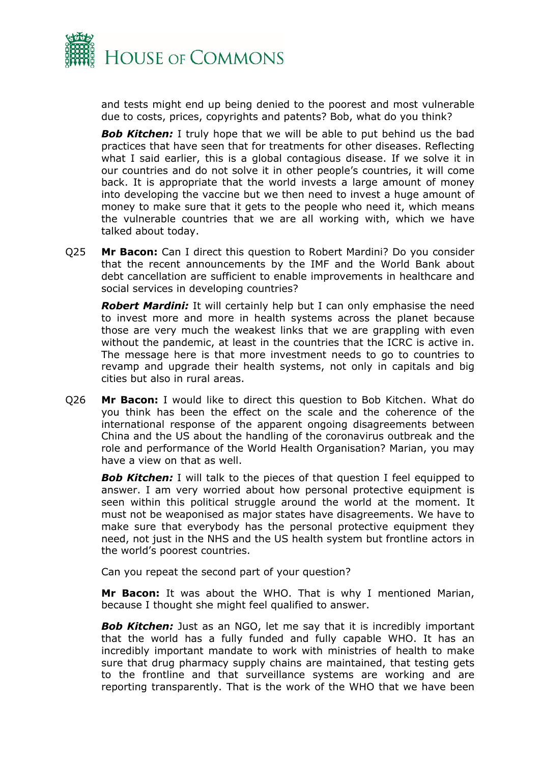

and tests might end up being denied to the poorest and most vulnerable due to costs, prices, copyrights and patents? Bob, what do you think?

**Bob Kitchen:** I truly hope that we will be able to put behind us the bad practices that have seen that for treatments for other diseases. Reflecting what I said earlier, this is a global contagious disease. If we solve it in our countries and do not solve it in other people's countries, it will come back. It is appropriate that the world invests a large amount of money into developing the vaccine but we then need to invest a huge amount of money to make sure that it gets to the people who need it, which means the vulnerable countries that we are all working with, which we have talked about today.

Q25 **Mr Bacon:** Can I direct this question to Robert Mardini? Do you consider that the recent announcements by the IMF and the World Bank about debt cancellation are sufficient to enable improvements in healthcare and social services in developing countries?

*Robert Mardini:* It will certainly help but I can only emphasise the need to invest more and more in health systems across the planet because those are very much the weakest links that we are grappling with even without the pandemic, at least in the countries that the ICRC is active in. The message here is that more investment needs to go to countries to revamp and upgrade their health systems, not only in capitals and big cities but also in rural areas.

Q26 **Mr Bacon:** I would like to direct this question to Bob Kitchen. What do you think has been the effect on the scale and the coherence of the international response of the apparent ongoing disagreements between China and the US about the handling of the coronavirus outbreak and the role and performance of the World Health Organisation? Marian, you may have a view on that as well.

**Bob Kitchen:** I will talk to the pieces of that question I feel equipped to answer. I am very worried about how personal protective equipment is seen within this political struggle around the world at the moment. It must not be weaponised as major states have disagreements. We have to make sure that everybody has the personal protective equipment they need, not just in the NHS and the US health system but frontline actors in the world's poorest countries.

Can you repeat the second part of your question?

**Mr Bacon:** It was about the WHO. That is why I mentioned Marian, because I thought she might feel qualified to answer.

*Bob Kitchen:* Just as an NGO, let me say that it is incredibly important that the world has a fully funded and fully capable WHO. It has an incredibly important mandate to work with ministries of health to make sure that drug pharmacy supply chains are maintained, that testing gets to the frontline and that surveillance systems are working and are reporting transparently. That is the work of the WHO that we have been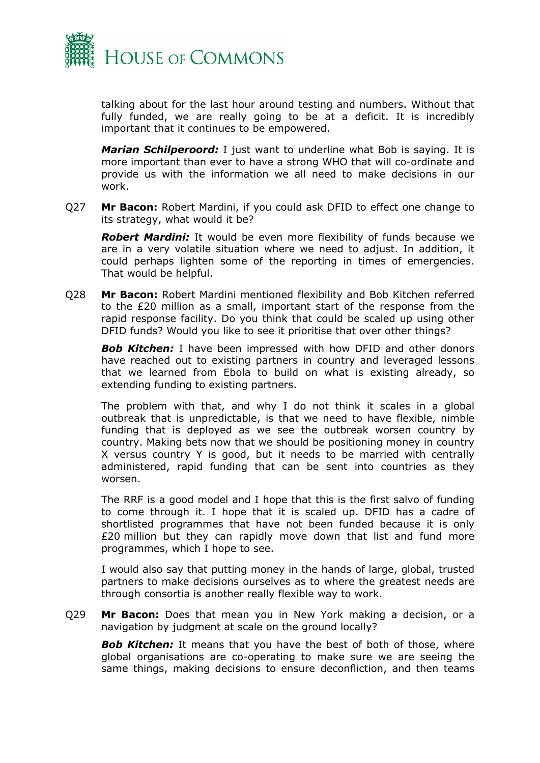

talking about for the last hour around testing and numbers. Without that fully funded, we are really going to be at a deficit. It is incredibly important that it continues to be empowered.

*Marian Schilperoord:* I just want to underline what Bob is saying. It is more important than ever to have a strong WHO that will co-ordinate and provide us with the information we all need to make decisions in our work.

Q27 **Mr Bacon:** Robert Mardini, if you could ask DFID to effect one change to its strategy, what would it be?

*Robert Mardini:* It would be even more flexibility of funds because we are in a very volatile situation where we need to adjust. In addition, it could perhaps lighten some of the reporting in times of emergencies. That would be helpful.

Q28 **Mr Bacon:** Robert Mardini mentioned flexibility and Bob Kitchen referred to the £20 million as a small, important start of the response from the rapid response facility. Do you think that could be scaled up using other DFID funds? Would you like to see it prioritise that over other things?

**Bob Kitchen:** I have been impressed with how DFID and other donors have reached out to existing partners in country and leveraged lessons that we learned from Ebola to build on what is existing already, so extending funding to existing partners.

The problem with that, and why I do not think it scales in a global outbreak that is unpredictable, is that we need to have flexible, nimble funding that is deployed as we see the outbreak worsen country by country. Making bets now that we should be positioning money in country X versus country Y is good, but it needs to be married with centrally administered, rapid funding that can be sent into countries as they worsen.

The RRF is a good model and I hope that this is the first salvo of funding to come through it. I hope that it is scaled up. DFID has a cadre of shortlisted programmes that have not been funded because it is only £20 million but they can rapidly move down that list and fund more programmes, which I hope to see.

I would also say that putting money in the hands of large, global, trusted partners to make decisions ourselves as to where the greatest needs are through consortia is another really flexible way to work.

Q29 **Mr Bacon:** Does that mean you in New York making a decision, or a navigation by judgment at scale on the ground locally?

**Bob Kitchen:** It means that you have the best of both of those, where global organisations are co-operating to make sure we are seeing the same things, making decisions to ensure deconfliction, and then teams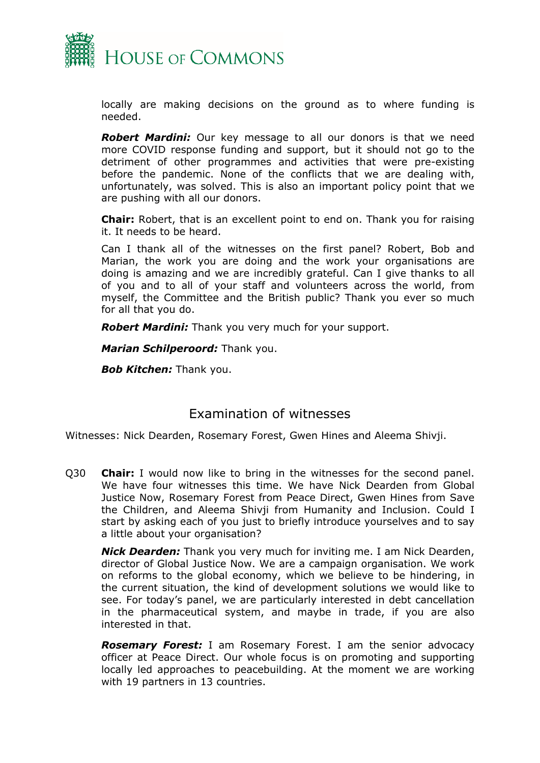

locally are making decisions on the ground as to where funding is needed.

*Robert Mardini:* Our key message to all our donors is that we need more COVID response funding and support, but it should not go to the detriment of other programmes and activities that were pre-existing before the pandemic. None of the conflicts that we are dealing with, unfortunately, was solved. This is also an important policy point that we are pushing with all our donors.

**Chair:** Robert, that is an excellent point to end on. Thank you for raising it. It needs to be heard.

Can I thank all of the witnesses on the first panel? Robert, Bob and Marian, the work you are doing and the work your organisations are doing is amazing and we are incredibly grateful. Can I give thanks to all of you and to all of your staff and volunteers across the world, from myself, the Committee and the British public? Thank you ever so much for all that you do.

*Robert Mardini:* Thank you very much for your support.

*Marian Schilperoord:* Thank you.

*Bob Kitchen:* Thank you.

#### Examination of witnesses

Witnesses: Nick Dearden, Rosemary Forest, Gwen Hines and Aleema Shivji.

<span id="page-17-0"></span>Q30 **Chair:** I would now like to bring in the witnesses for the second panel. We have four witnesses this time. We have Nick Dearden from Global Justice Now, Rosemary Forest from Peace Direct, Gwen Hines from Save the Children, and Aleema Shivji from Humanity and Inclusion. Could I start by asking each of you just to briefly introduce yourselves and to say a little about your organisation?

*Nick Dearden:* Thank you very much for inviting me. I am Nick Dearden, director of Global Justice Now. We are a campaign organisation. We work on reforms to the global economy, which we believe to be hindering, in the current situation, the kind of development solutions we would like to see. For today's panel, we are particularly interested in debt cancellation in the pharmaceutical system, and maybe in trade, if you are also interested in that.

*Rosemary Forest:* I am Rosemary Forest. I am the senior advocacy officer at Peace Direct. Our whole focus is on promoting and supporting locally led approaches to peacebuilding. At the moment we are working with 19 partners in 13 countries.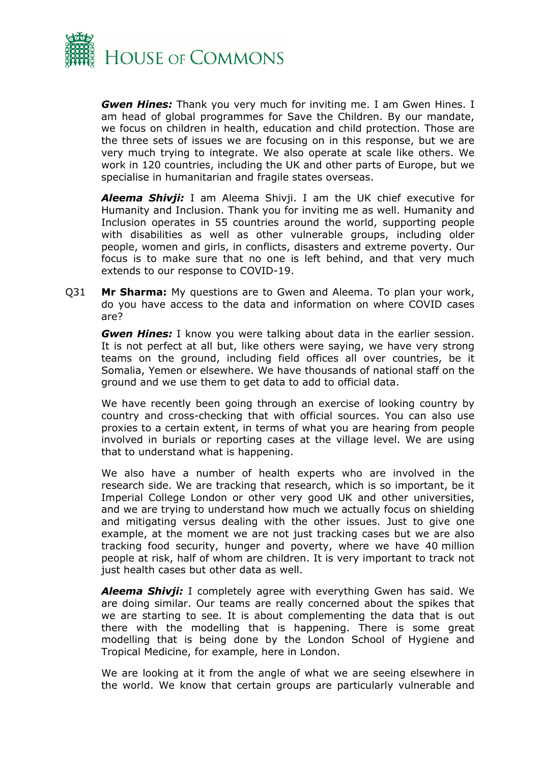

*Gwen Hines:* Thank you very much for inviting me. I am Gwen Hines. I am head of global programmes for Save the Children. By our mandate, we focus on children in health, education and child protection. Those are the three sets of issues we are focusing on in this response, but we are very much trying to integrate. We also operate at scale like others. We work in 120 countries, including the UK and other parts of Europe, but we specialise in humanitarian and fragile states overseas.

*Aleema Shivji:* I am Aleema Shivji. I am the UK chief executive for Humanity and Inclusion. Thank you for inviting me as well. Humanity and Inclusion operates in 55 countries around the world, supporting people with disabilities as well as other vulnerable groups, including older people, women and girls, in conflicts, disasters and extreme poverty. Our focus is to make sure that no one is left behind, and that very much extends to our response to COVID-19.

Q31 **Mr Sharma:** My questions are to Gwen and Aleema. To plan your work, do you have access to the data and information on where COVID cases are?

*Gwen Hines:* I know you were talking about data in the earlier session. It is not perfect at all but, like others were saying, we have very strong teams on the ground, including field offices all over countries, be it Somalia, Yemen or elsewhere. We have thousands of national staff on the ground and we use them to get data to add to official data.

We have recently been going through an exercise of looking country by country and cross-checking that with official sources. You can also use proxies to a certain extent, in terms of what you are hearing from people involved in burials or reporting cases at the village level. We are using that to understand what is happening.

We also have a number of health experts who are involved in the research side. We are tracking that research, which is so important, be it Imperial College London or other very good UK and other universities, and we are trying to understand how much we actually focus on shielding and mitigating versus dealing with the other issues. Just to give one example, at the moment we are not just tracking cases but we are also tracking food security, hunger and poverty, where we have 40 million people at risk, half of whom are children. It is very important to track not just health cases but other data as well.

*Aleema Shivji:* I completely agree with everything Gwen has said. We are doing similar. Our teams are really concerned about the spikes that we are starting to see. It is about complementing the data that is out there with the modelling that is happening. There is some great modelling that is being done by the London School of Hygiene and Tropical Medicine, for example, here in London.

We are looking at it from the angle of what we are seeing elsewhere in the world. We know that certain groups are particularly vulnerable and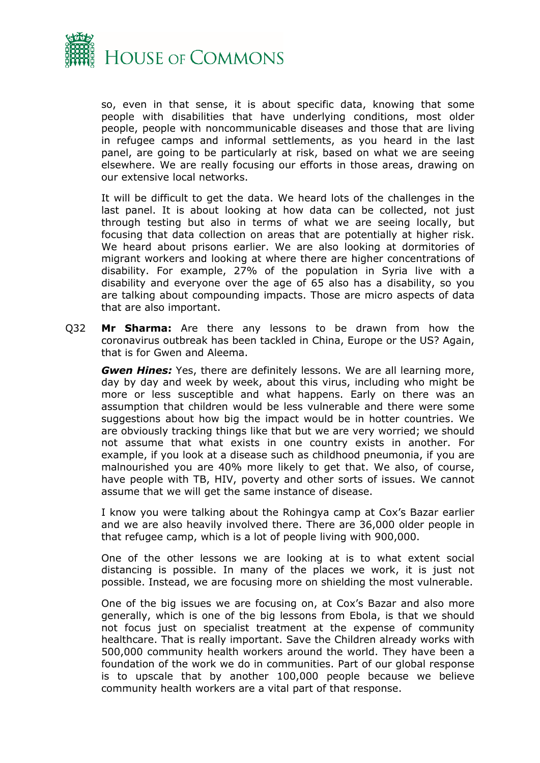

so, even in that sense, it is about specific data, knowing that some people with disabilities that have underlying conditions, most older people, people with noncommunicable diseases and those that are living in refugee camps and informal settlements, as you heard in the last panel, are going to be particularly at risk, based on what we are seeing elsewhere. We are really focusing our efforts in those areas, drawing on our extensive local networks.

It will be difficult to get the data. We heard lots of the challenges in the last panel. It is about looking at how data can be collected, not just through testing but also in terms of what we are seeing locally, but focusing that data collection on areas that are potentially at higher risk. We heard about prisons earlier. We are also looking at dormitories of migrant workers and looking at where there are higher concentrations of disability. For example, 27% of the population in Syria live with a disability and everyone over the age of 65 also has a disability, so you are talking about compounding impacts. Those are micro aspects of data that are also important.

Q32 **Mr Sharma:** Are there any lessons to be drawn from how the coronavirus outbreak has been tackled in China, Europe or the US? Again, that is for Gwen and Aleema.

*Gwen Hines:* Yes, there are definitely lessons. We are all learning more, day by day and week by week, about this virus, including who might be more or less susceptible and what happens. Early on there was an assumption that children would be less vulnerable and there were some suggestions about how big the impact would be in hotter countries. We are obviously tracking things like that but we are very worried; we should not assume that what exists in one country exists in another. For example, if you look at a disease such as childhood pneumonia, if you are malnourished you are 40% more likely to get that. We also, of course, have people with TB, HIV, poverty and other sorts of issues. We cannot assume that we will get the same instance of disease.

I know you were talking about the Rohingya camp at Cox's Bazar earlier and we are also heavily involved there. There are 36,000 older people in that refugee camp, which is a lot of people living with 900,000.

One of the other lessons we are looking at is to what extent social distancing is possible. In many of the places we work, it is just not possible. Instead, we are focusing more on shielding the most vulnerable.

One of the big issues we are focusing on, at Cox's Bazar and also more generally, which is one of the big lessons from Ebola, is that we should not focus just on specialist treatment at the expense of community healthcare. That is really important. Save the Children already works with 500,000 community health workers around the world. They have been a foundation of the work we do in communities. Part of our global response is to upscale that by another 100,000 people because we believe community health workers are a vital part of that response.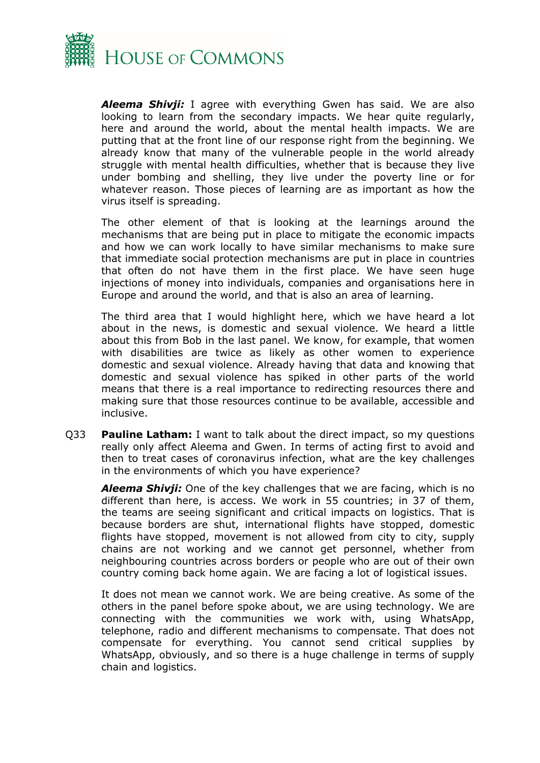

*Aleema Shivji:* I agree with everything Gwen has said. We are also looking to learn from the secondary impacts. We hear quite regularly, here and around the world, about the mental health impacts. We are putting that at the front line of our response right from the beginning. We already know that many of the vulnerable people in the world already struggle with mental health difficulties, whether that is because they live under bombing and shelling, they live under the poverty line or for whatever reason. Those pieces of learning are as important as how the virus itself is spreading.

The other element of that is looking at the learnings around the mechanisms that are being put in place to mitigate the economic impacts and how we can work locally to have similar mechanisms to make sure that immediate social protection mechanisms are put in place in countries that often do not have them in the first place. We have seen huge injections of money into individuals, companies and organisations here in Europe and around the world, and that is also an area of learning.

The third area that I would highlight here, which we have heard a lot about in the news, is domestic and sexual violence. We heard a little about this from Bob in the last panel. We know, for example, that women with disabilities are twice as likely as other women to experience domestic and sexual violence. Already having that data and knowing that domestic and sexual violence has spiked in other parts of the world means that there is a real importance to redirecting resources there and making sure that those resources continue to be available, accessible and inclusive.

Q33 **Pauline Latham:** I want to talk about the direct impact, so my questions really only affect Aleema and Gwen. In terms of acting first to avoid and then to treat cases of coronavirus infection, what are the key challenges in the environments of which you have experience?

*Aleema Shivji:* One of the key challenges that we are facing, which is no different than here, is access. We work in 55 countries; in 37 of them, the teams are seeing significant and critical impacts on logistics. That is because borders are shut, international flights have stopped, domestic flights have stopped, movement is not allowed from city to city, supply chains are not working and we cannot get personnel, whether from neighbouring countries across borders or people who are out of their own country coming back home again. We are facing a lot of logistical issues.

It does not mean we cannot work. We are being creative. As some of the others in the panel before spoke about, we are using technology. We are connecting with the communities we work with, using WhatsApp, telephone, radio and different mechanisms to compensate. That does not compensate for everything. You cannot send critical supplies by WhatsApp, obviously, and so there is a huge challenge in terms of supply chain and logistics.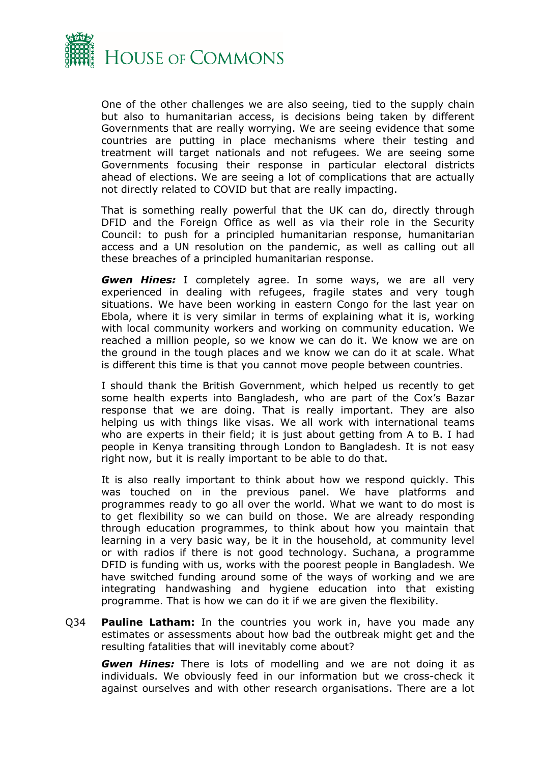

One of the other challenges we are also seeing, tied to the supply chain but also to humanitarian access, is decisions being taken by different Governments that are really worrying. We are seeing evidence that some countries are putting in place mechanisms where their testing and treatment will target nationals and not refugees. We are seeing some Governments focusing their response in particular electoral districts ahead of elections. We are seeing a lot of complications that are actually not directly related to COVID but that are really impacting.

That is something really powerful that the UK can do, directly through DFID and the Foreign Office as well as via their role in the Security Council: to push for a principled humanitarian response, humanitarian access and a UN resolution on the pandemic, as well as calling out all these breaches of a principled humanitarian response.

*Gwen Hines:* I completely agree. In some ways, we are all very experienced in dealing with refugees, fragile states and very tough situations. We have been working in eastern Congo for the last year on Ebola, where it is very similar in terms of explaining what it is, working with local community workers and working on community education. We reached a million people, so we know we can do it. We know we are on the ground in the tough places and we know we can do it at scale. What is different this time is that you cannot move people between countries.

I should thank the British Government, which helped us recently to get some health experts into Bangladesh, who are part of the Cox's Bazar response that we are doing. That is really important. They are also helping us with things like visas. We all work with international teams who are experts in their field; it is just about getting from A to B. I had people in Kenya transiting through London to Bangladesh. It is not easy right now, but it is really important to be able to do that.

It is also really important to think about how we respond quickly. This was touched on in the previous panel. We have platforms and programmes ready to go all over the world. What we want to do most is to get flexibility so we can build on those. We are already responding through education programmes, to think about how you maintain that learning in a very basic way, be it in the household, at community level or with radios if there is not good technology. Suchana, a programme DFID is funding with us, works with the poorest people in Bangladesh. We have switched funding around some of the ways of working and we are integrating handwashing and hygiene education into that existing programme. That is how we can do it if we are given the flexibility.

Q34 **Pauline Latham:** In the countries you work in, have you made any estimates or assessments about how bad the outbreak might get and the resulting fatalities that will inevitably come about?

*Gwen Hines:* There is lots of modelling and we are not doing it as individuals. We obviously feed in our information but we cross-check it against ourselves and with other research organisations. There are a lot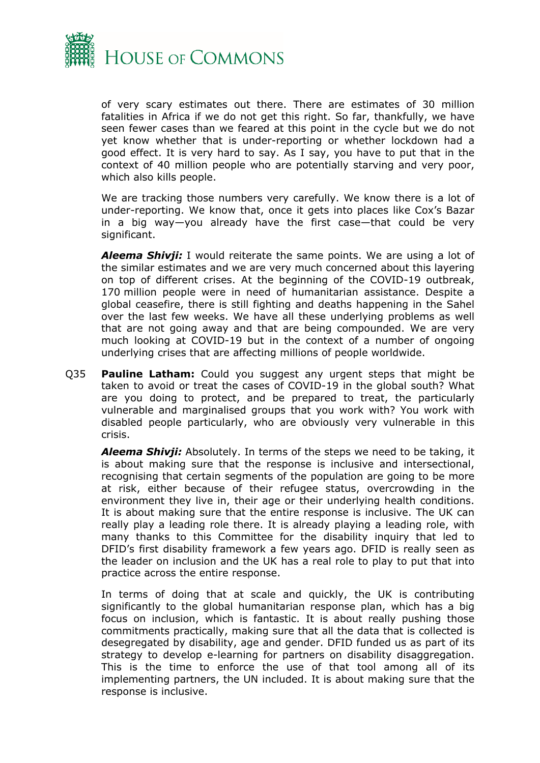

of very scary estimates out there. There are estimates of 30 million fatalities in Africa if we do not get this right. So far, thankfully, we have seen fewer cases than we feared at this point in the cycle but we do not yet know whether that is under-reporting or whether lockdown had a good effect. It is very hard to say. As I say, you have to put that in the context of 40 million people who are potentially starving and very poor, which also kills people.

We are tracking those numbers very carefully. We know there is a lot of under-reporting. We know that, once it gets into places like Cox's Bazar in a big way—you already have the first case—that could be very significant.

*Aleema Shivji:* I would reiterate the same points. We are using a lot of the similar estimates and we are very much concerned about this layering on top of different crises. At the beginning of the COVID-19 outbreak, 170 million people were in need of humanitarian assistance. Despite a global ceasefire, there is still fighting and deaths happening in the Sahel over the last few weeks. We have all these underlying problems as well that are not going away and that are being compounded. We are very much looking at COVID-19 but in the context of a number of ongoing underlying crises that are affecting millions of people worldwide.

Q35 **Pauline Latham:** Could you suggest any urgent steps that might be taken to avoid or treat the cases of COVID-19 in the global south? What are you doing to protect, and be prepared to treat, the particularly vulnerable and marginalised groups that you work with? You work with disabled people particularly, who are obviously very vulnerable in this crisis.

*Aleema Shivji:* Absolutely. In terms of the steps we need to be taking, it is about making sure that the response is inclusive and intersectional, recognising that certain segments of the population are going to be more at risk, either because of their refugee status, overcrowding in the environment they live in, their age or their underlying health conditions. It is about making sure that the entire response is inclusive. The UK can really play a leading role there. It is already playing a leading role, with many thanks to this Committee for the disability inquiry that led to DFID's first disability framework a few years ago. DFID is really seen as the leader on inclusion and the UK has a real role to play to put that into practice across the entire response.

In terms of doing that at scale and quickly, the UK is contributing significantly to the global humanitarian response plan, which has a big focus on inclusion, which is fantastic. It is about really pushing those commitments practically, making sure that all the data that is collected is desegregated by disability, age and gender. DFID funded us as part of its strategy to develop e-learning for partners on disability disaggregation. This is the time to enforce the use of that tool among all of its implementing partners, the UN included. It is about making sure that the response is inclusive.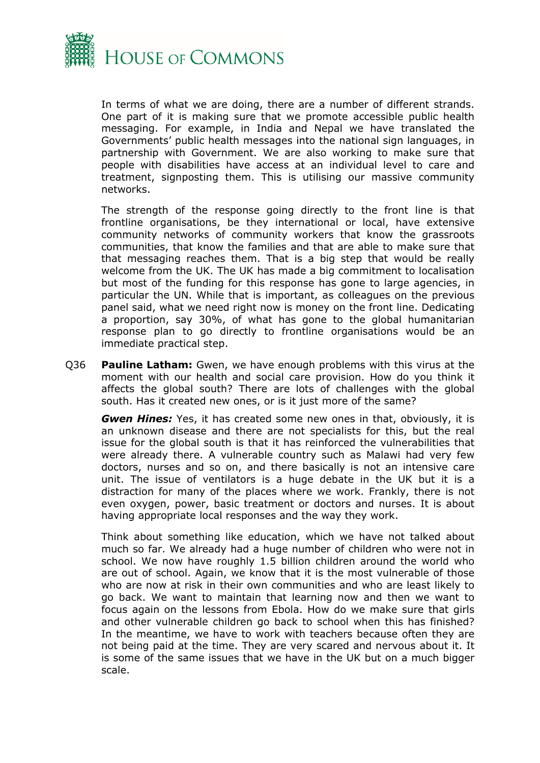

In terms of what we are doing, there are a number of different strands. One part of it is making sure that we promote accessible public health messaging. For example, in India and Nepal we have translated the Governments' public health messages into the national sign languages, in partnership with Government. We are also working to make sure that people with disabilities have access at an individual level to care and treatment, signposting them. This is utilising our massive community networks.

The strength of the response going directly to the front line is that frontline organisations, be they international or local, have extensive community networks of community workers that know the grassroots communities, that know the families and that are able to make sure that that messaging reaches them. That is a big step that would be really welcome from the UK. The UK has made a big commitment to localisation but most of the funding for this response has gone to large agencies, in particular the UN. While that is important, as colleagues on the previous panel said, what we need right now is money on the front line. Dedicating a proportion, say 30%, of what has gone to the global humanitarian response plan to go directly to frontline organisations would be an immediate practical step.

Q36 **Pauline Latham:** Gwen, we have enough problems with this virus at the moment with our health and social care provision. How do you think it affects the global south? There are lots of challenges with the global south. Has it created new ones, or is it just more of the same?

*Gwen Hines:* Yes, it has created some new ones in that, obviously, it is an unknown disease and there are not specialists for this, but the real issue for the global south is that it has reinforced the vulnerabilities that were already there. A vulnerable country such as Malawi had very few doctors, nurses and so on, and there basically is not an intensive care unit. The issue of ventilators is a huge debate in the UK but it is a distraction for many of the places where we work. Frankly, there is not even oxygen, power, basic treatment or doctors and nurses. It is about having appropriate local responses and the way they work.

Think about something like education, which we have not talked about much so far. We already had a huge number of children who were not in school. We now have roughly 1.5 billion children around the world who are out of school. Again, we know that it is the most vulnerable of those who are now at risk in their own communities and who are least likely to go back. We want to maintain that learning now and then we want to focus again on the lessons from Ebola. How do we make sure that girls and other vulnerable children go back to school when this has finished? In the meantime, we have to work with teachers because often they are not being paid at the time. They are very scared and nervous about it. It is some of the same issues that we have in the UK but on a much bigger scale.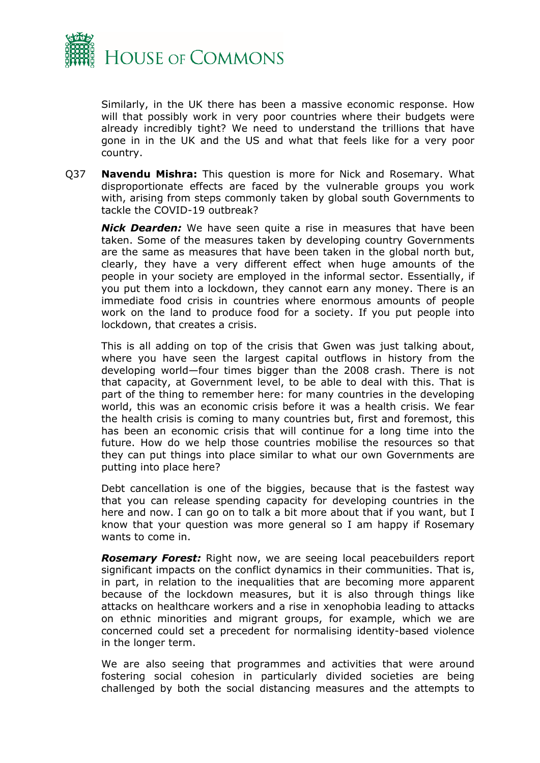

Similarly, in the UK there has been a massive economic response. How will that possibly work in very poor countries where their budgets were already incredibly tight? We need to understand the trillions that have gone in in the UK and the US and what that feels like for a very poor country.

Q37 **Navendu Mishra:** This question is more for Nick and Rosemary. What disproportionate effects are faced by the vulnerable groups you work with, arising from steps commonly taken by global south Governments to tackle the COVID-19 outbreak?

*Nick Dearden:* We have seen quite a rise in measures that have been taken. Some of the measures taken by developing country Governments are the same as measures that have been taken in the global north but, clearly, they have a very different effect when huge amounts of the people in your society are employed in the informal sector. Essentially, if you put them into a lockdown, they cannot earn any money. There is an immediate food crisis in countries where enormous amounts of people work on the land to produce food for a society. If you put people into lockdown, that creates a crisis.

This is all adding on top of the crisis that Gwen was just talking about, where you have seen the largest capital outflows in history from the developing world—four times bigger than the 2008 crash. There is not that capacity, at Government level, to be able to deal with this. That is part of the thing to remember here: for many countries in the developing world, this was an economic crisis before it was a health crisis. We fear the health crisis is coming to many countries but, first and foremost, this has been an economic crisis that will continue for a long time into the future. How do we help those countries mobilise the resources so that they can put things into place similar to what our own Governments are putting into place here?

Debt cancellation is one of the biggies, because that is the fastest way that you can release spending capacity for developing countries in the here and now. I can go on to talk a bit more about that if you want, but I know that your question was more general so I am happy if Rosemary wants to come in.

*Rosemary Forest:* Right now, we are seeing local peacebuilders report significant impacts on the conflict dynamics in their communities. That is, in part, in relation to the inequalities that are becoming more apparent because of the lockdown measures, but it is also through things like attacks on healthcare workers and a rise in xenophobia leading to attacks on ethnic minorities and migrant groups, for example, which we are concerned could set a precedent for normalising identity-based violence in the longer term.

We are also seeing that programmes and activities that were around fostering social cohesion in particularly divided societies are being challenged by both the social distancing measures and the attempts to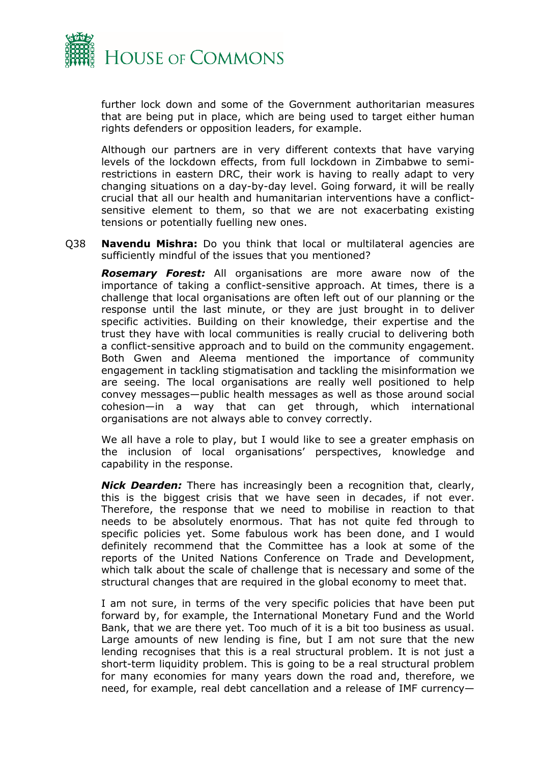

further lock down and some of the Government authoritarian measures that are being put in place, which are being used to target either human rights defenders or opposition leaders, for example.

Although our partners are in very different contexts that have varying levels of the lockdown effects, from full lockdown in Zimbabwe to semirestrictions in eastern DRC, their work is having to really adapt to very changing situations on a day-by-day level. Going forward, it will be really crucial that all our health and humanitarian interventions have a conflictsensitive element to them, so that we are not exacerbating existing tensions or potentially fuelling new ones.

Q38 **Navendu Mishra:** Do you think that local or multilateral agencies are sufficiently mindful of the issues that you mentioned?

*Rosemary Forest:* All organisations are more aware now of the importance of taking a conflict-sensitive approach. At times, there is a challenge that local organisations are often left out of our planning or the response until the last minute, or they are just brought in to deliver specific activities. Building on their knowledge, their expertise and the trust they have with local communities is really crucial to delivering both a conflict-sensitive approach and to build on the community engagement. Both Gwen and Aleema mentioned the importance of community engagement in tackling stigmatisation and tackling the misinformation we are seeing. The local organisations are really well positioned to help convey messages—public health messages as well as those around social cohesion—in a way that can get through, which international organisations are not always able to convey correctly.

We all have a role to play, but I would like to see a greater emphasis on the inclusion of local organisations' perspectives, knowledge and capability in the response.

*Nick Dearden:* There has increasingly been a recognition that, clearly, this is the biggest crisis that we have seen in decades, if not ever. Therefore, the response that we need to mobilise in reaction to that needs to be absolutely enormous. That has not quite fed through to specific policies yet. Some fabulous work has been done, and I would definitely recommend that the Committee has a look at some of the reports of the United Nations Conference on Trade and Development, which talk about the scale of challenge that is necessary and some of the structural changes that are required in the global economy to meet that.

I am not sure, in terms of the very specific policies that have been put forward by, for example, the International Monetary Fund and the World Bank, that we are there yet. Too much of it is a bit too business as usual. Large amounts of new lending is fine, but I am not sure that the new lending recognises that this is a real structural problem. It is not just a short-term liquidity problem. This is going to be a real structural problem for many economies for many years down the road and, therefore, we need, for example, real debt cancellation and a release of IMF currency—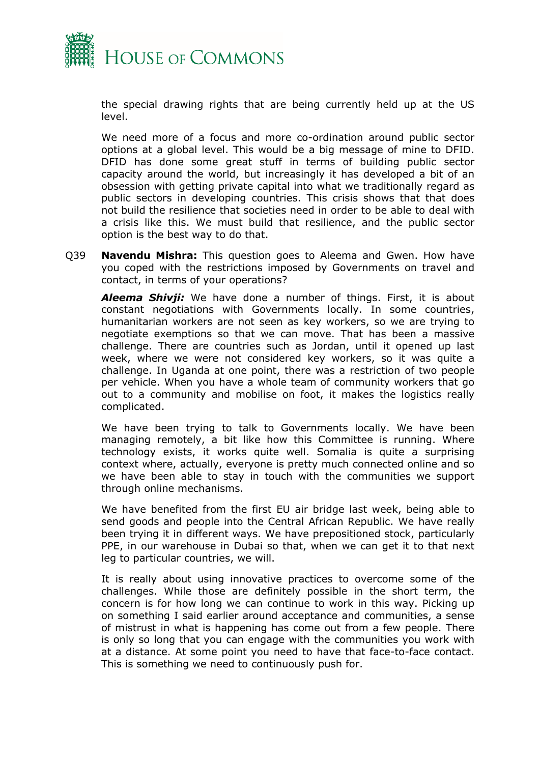

the special drawing rights that are being currently held up at the US level.

We need more of a focus and more co-ordination around public sector options at a global level. This would be a big message of mine to DFID. DFID has done some great stuff in terms of building public sector capacity around the world, but increasingly it has developed a bit of an obsession with getting private capital into what we traditionally regard as public sectors in developing countries. This crisis shows that that does not build the resilience that societies need in order to be able to deal with a crisis like this. We must build that resilience, and the public sector option is the best way to do that.

Q39 **Navendu Mishra:** This question goes to Aleema and Gwen. How have you coped with the restrictions imposed by Governments on travel and contact, in terms of your operations?

*Aleema Shivji:* We have done a number of things. First, it is about constant negotiations with Governments locally. In some countries, humanitarian workers are not seen as key workers, so we are trying to negotiate exemptions so that we can move. That has been a massive challenge. There are countries such as Jordan, until it opened up last week, where we were not considered key workers, so it was quite a challenge. In Uganda at one point, there was a restriction of two people per vehicle. When you have a whole team of community workers that go out to a community and mobilise on foot, it makes the logistics really complicated.

We have been trying to talk to Governments locally. We have been managing remotely, a bit like how this Committee is running. Where technology exists, it works quite well. Somalia is quite a surprising context where, actually, everyone is pretty much connected online and so we have been able to stay in touch with the communities we support through online mechanisms.

We have benefited from the first EU air bridge last week, being able to send goods and people into the Central African Republic. We have really been trying it in different ways. We have prepositioned stock, particularly PPE, in our warehouse in Dubai so that, when we can get it to that next leg to particular countries, we will.

It is really about using innovative practices to overcome some of the challenges. While those are definitely possible in the short term, the concern is for how long we can continue to work in this way. Picking up on something I said earlier around acceptance and communities, a sense of mistrust in what is happening has come out from a few people. There is only so long that you can engage with the communities you work with at a distance. At some point you need to have that face-to-face contact. This is something we need to continuously push for.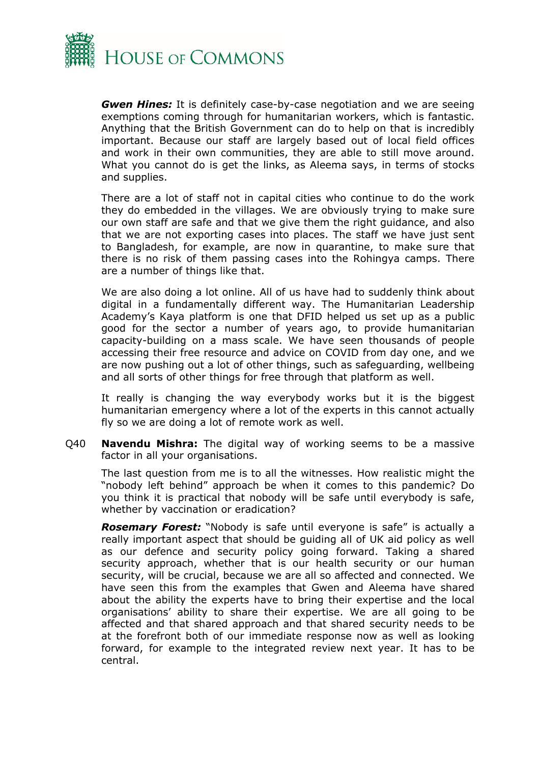

*Gwen Hines:* It is definitely case-by-case negotiation and we are seeing exemptions coming through for humanitarian workers, which is fantastic. Anything that the British Government can do to help on that is incredibly important. Because our staff are largely based out of local field offices and work in their own communities, they are able to still move around. What you cannot do is get the links, as Aleema says, in terms of stocks and supplies.

There are a lot of staff not in capital cities who continue to do the work they do embedded in the villages. We are obviously trying to make sure our own staff are safe and that we give them the right guidance, and also that we are not exporting cases into places. The staff we have just sent to Bangladesh, for example, are now in quarantine, to make sure that there is no risk of them passing cases into the Rohingya camps. There are a number of things like that.

We are also doing a lot online. All of us have had to suddenly think about digital in a fundamentally different way. The Humanitarian Leadership Academy's Kaya platform is one that DFID helped us set up as a public good for the sector a number of years ago, to provide humanitarian capacity-building on a mass scale. We have seen thousands of people accessing their free resource and advice on COVID from day one, and we are now pushing out a lot of other things, such as safeguarding, wellbeing and all sorts of other things for free through that platform as well.

It really is changing the way everybody works but it is the biggest humanitarian emergency where a lot of the experts in this cannot actually fly so we are doing a lot of remote work as well.

Q40 **Navendu Mishra:** The digital way of working seems to be a massive factor in all your organisations.

The last question from me is to all the witnesses. How realistic might the "nobody left behind" approach be when it comes to this pandemic? Do you think it is practical that nobody will be safe until everybody is safe, whether by vaccination or eradication?

*Rosemary Forest:* "Nobody is safe until everyone is safe" is actually a really important aspect that should be guiding all of UK aid policy as well as our defence and security policy going forward. Taking a shared security approach, whether that is our health security or our human security, will be crucial, because we are all so affected and connected. We have seen this from the examples that Gwen and Aleema have shared about the ability the experts have to bring their expertise and the local organisations' ability to share their expertise. We are all going to be affected and that shared approach and that shared security needs to be at the forefront both of our immediate response now as well as looking forward, for example to the integrated review next year. It has to be central.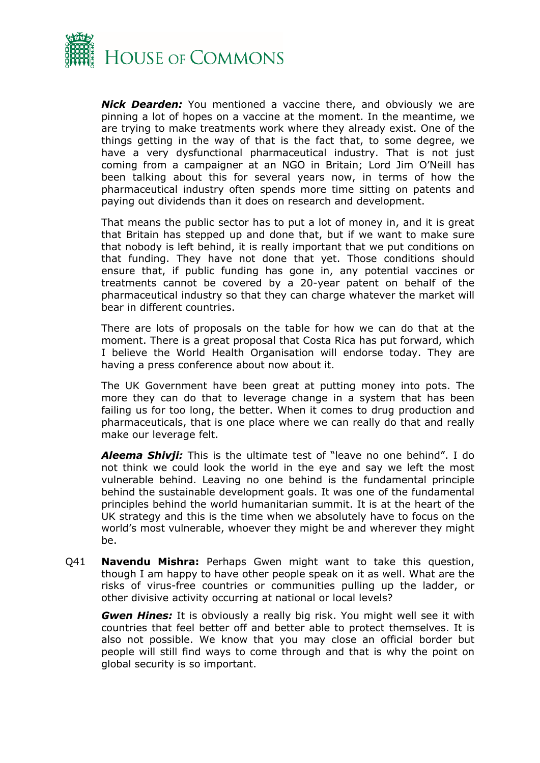

*Nick Dearden:* You mentioned a vaccine there, and obviously we are pinning a lot of hopes on a vaccine at the moment. In the meantime, we are trying to make treatments work where they already exist. One of the things getting in the way of that is the fact that, to some degree, we have a very dysfunctional pharmaceutical industry. That is not just coming from a campaigner at an NGO in Britain; Lord Jim O'Neill has been talking about this for several years now, in terms of how the pharmaceutical industry often spends more time sitting on patents and paying out dividends than it does on research and development.

That means the public sector has to put a lot of money in, and it is great that Britain has stepped up and done that, but if we want to make sure that nobody is left behind, it is really important that we put conditions on that funding. They have not done that yet. Those conditions should ensure that, if public funding has gone in, any potential vaccines or treatments cannot be covered by a 20-year patent on behalf of the pharmaceutical industry so that they can charge whatever the market will bear in different countries.

There are lots of proposals on the table for how we can do that at the moment. There is a great proposal that Costa Rica has put forward, which I believe the World Health Organisation will endorse today. They are having a press conference about now about it.

The UK Government have been great at putting money into pots. The more they can do that to leverage change in a system that has been failing us for too long, the better. When it comes to drug production and pharmaceuticals, that is one place where we can really do that and really make our leverage felt.

*Aleema Shivji:* This is the ultimate test of "leave no one behind". I do not think we could look the world in the eye and say we left the most vulnerable behind. Leaving no one behind is the fundamental principle behind the sustainable development goals. It was one of the fundamental principles behind the world humanitarian summit. It is at the heart of the UK strategy and this is the time when we absolutely have to focus on the world's most vulnerable, whoever they might be and wherever they might be.

Q41 **Navendu Mishra:** Perhaps Gwen might want to take this question, though I am happy to have other people speak on it as well. What are the risks of virus-free countries or communities pulling up the ladder, or other divisive activity occurring at national or local levels?

*Gwen Hines:* It is obviously a really big risk. You might well see it with countries that feel better off and better able to protect themselves. It is also not possible. We know that you may close an official border but people will still find ways to come through and that is why the point on global security is so important.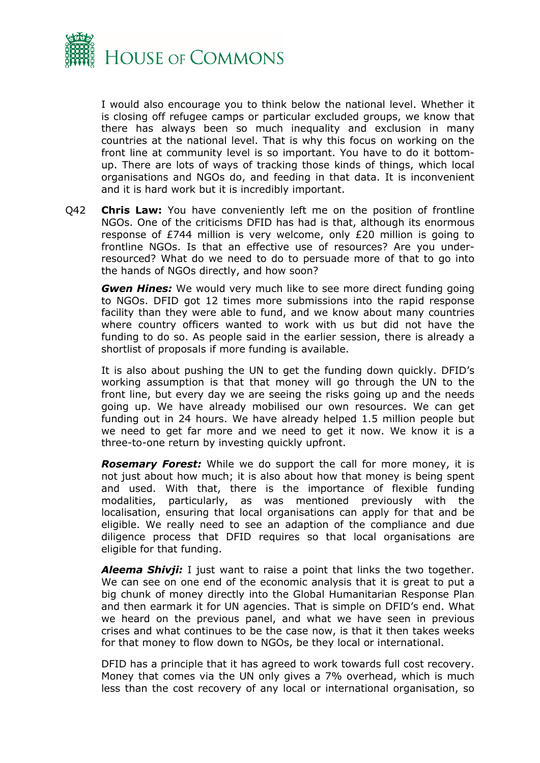

I would also encourage you to think below the national level. Whether it is closing off refugee camps or particular excluded groups, we know that there has always been so much inequality and exclusion in many countries at the national level. That is why this focus on working on the front line at community level is so important. You have to do it bottomup. There are lots of ways of tracking those kinds of things, which local organisations and NGOs do, and feeding in that data. It is inconvenient and it is hard work but it is incredibly important.

Q42 **Chris Law:** You have conveniently left me on the position of frontline NGOs. One of the criticisms DFID has had is that, although its enormous response of £744 million is very welcome, only £20 million is going to frontline NGOs. Is that an effective use of resources? Are you underresourced? What do we need to do to persuade more of that to go into the hands of NGOs directly, and how soon?

*Gwen Hines:* We would very much like to see more direct funding going to NGOs. DFID got 12 times more submissions into the rapid response facility than they were able to fund, and we know about many countries where country officers wanted to work with us but did not have the funding to do so. As people said in the earlier session, there is already a shortlist of proposals if more funding is available.

It is also about pushing the UN to get the funding down quickly. DFID's working assumption is that that money will go through the UN to the front line, but every day we are seeing the risks going up and the needs going up. We have already mobilised our own resources. We can get funding out in 24 hours. We have already helped 1.5 million people but we need to get far more and we need to get it now. We know it is a three-to-one return by investing quickly upfront.

*Rosemary Forest:* While we do support the call for more money, it is not just about how much; it is also about how that money is being spent and used. With that, there is the importance of flexible funding modalities, particularly, as was mentioned previously with the localisation, ensuring that local organisations can apply for that and be eligible. We really need to see an adaption of the compliance and due diligence process that DFID requires so that local organisations are eligible for that funding.

*Aleema Shivji:* I just want to raise a point that links the two together. We can see on one end of the economic analysis that it is great to put a big chunk of money directly into the Global Humanitarian Response Plan and then earmark it for UN agencies. That is simple on DFID's end. What we heard on the previous panel, and what we have seen in previous crises and what continues to be the case now, is that it then takes weeks for that money to flow down to NGOs, be they local or international.

DFID has a principle that it has agreed to work towards full cost recovery. Money that comes via the UN only gives a 7% overhead, which is much less than the cost recovery of any local or international organisation, so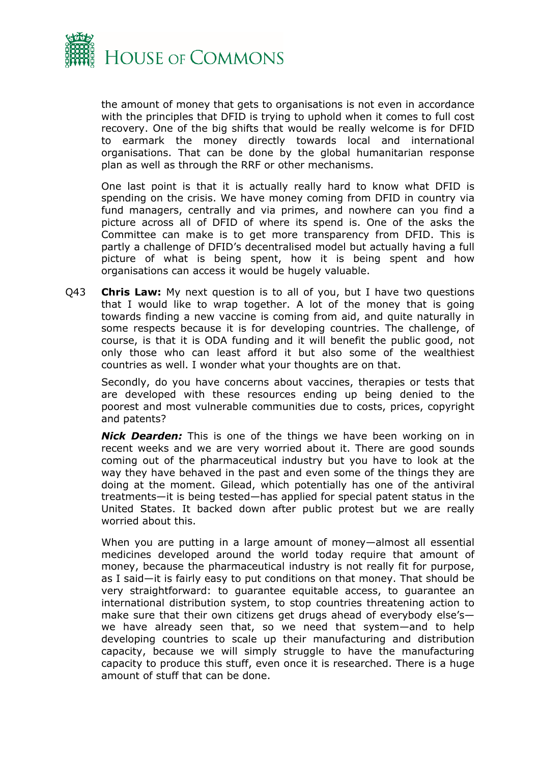

the amount of money that gets to organisations is not even in accordance with the principles that DFID is trying to uphold when it comes to full cost recovery. One of the big shifts that would be really welcome is for DFID to earmark the money directly towards local and international organisations. That can be done by the global humanitarian response plan as well as through the RRF or other mechanisms.

One last point is that it is actually really hard to know what DFID is spending on the crisis. We have money coming from DFID in country via fund managers, centrally and via primes, and nowhere can you find a picture across all of DFID of where its spend is. One of the asks the Committee can make is to get more transparency from DFID. This is partly a challenge of DFID's decentralised model but actually having a full picture of what is being spent, how it is being spent and how organisations can access it would be hugely valuable.

Q43 **Chris Law:** My next question is to all of you, but I have two questions that I would like to wrap together. A lot of the money that is going towards finding a new vaccine is coming from aid, and quite naturally in some respects because it is for developing countries. The challenge, of course, is that it is ODA funding and it will benefit the public good, not only those who can least afford it but also some of the wealthiest countries as well. I wonder what your thoughts are on that.

Secondly, do you have concerns about vaccines, therapies or tests that are developed with these resources ending up being denied to the poorest and most vulnerable communities due to costs, prices, copyright and patents?

*Nick Dearden:* This is one of the things we have been working on in recent weeks and we are very worried about it. There are good sounds coming out of the pharmaceutical industry but you have to look at the way they have behaved in the past and even some of the things they are doing at the moment. Gilead, which potentially has one of the antiviral treatments—it is being tested—has applied for special patent status in the United States. It backed down after public protest but we are really worried about this.

When you are putting in a large amount of money—almost all essential medicines developed around the world today require that amount of money, because the pharmaceutical industry is not really fit for purpose, as I said—it is fairly easy to put conditions on that money. That should be very straightforward: to guarantee equitable access, to guarantee an international distribution system, to stop countries threatening action to make sure that their own citizens get drugs ahead of everybody else's we have already seen that, so we need that system—and to help developing countries to scale up their manufacturing and distribution capacity, because we will simply struggle to have the manufacturing capacity to produce this stuff, even once it is researched. There is a huge amount of stuff that can be done.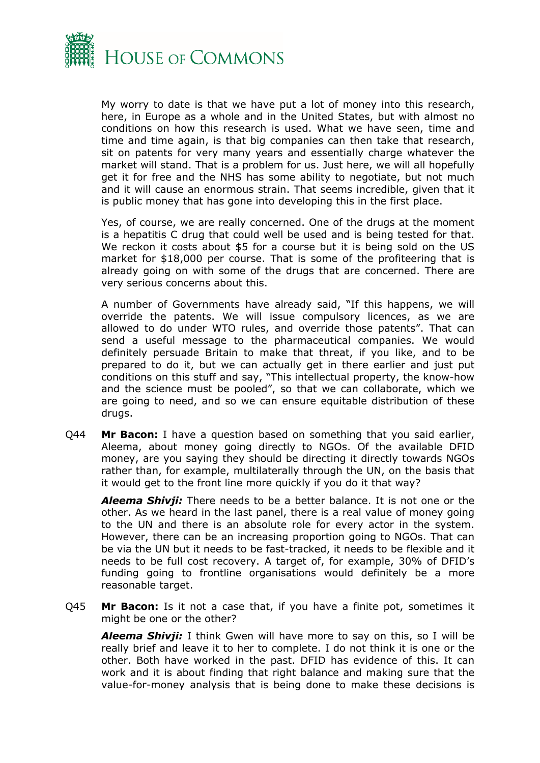

My worry to date is that we have put a lot of money into this research, here, in Europe as a whole and in the United States, but with almost no conditions on how this research is used. What we have seen, time and time and time again, is that big companies can then take that research, sit on patents for very many years and essentially charge whatever the market will stand. That is a problem for us. Just here, we will all hopefully get it for free and the NHS has some ability to negotiate, but not much and it will cause an enormous strain. That seems incredible, given that it is public money that has gone into developing this in the first place.

Yes, of course, we are really concerned. One of the drugs at the moment is a hepatitis C drug that could well be used and is being tested for that. We reckon it costs about \$5 for a course but it is being sold on the US market for \$18,000 per course. That is some of the profiteering that is already going on with some of the drugs that are concerned. There are very serious concerns about this.

A number of Governments have already said, "If this happens, we will override the patents. We will issue compulsory licences, as we are allowed to do under WTO rules, and override those patents". That can send a useful message to the pharmaceutical companies. We would definitely persuade Britain to make that threat, if you like, and to be prepared to do it, but we can actually get in there earlier and just put conditions on this stuff and say, "This intellectual property, the know-how and the science must be pooled", so that we can collaborate, which we are going to need, and so we can ensure equitable distribution of these drugs.

Q44 **Mr Bacon:** I have a question based on something that you said earlier, Aleema, about money going directly to NGOs. Of the available DFID money, are you saying they should be directing it directly towards NGOs rather than, for example, multilaterally through the UN, on the basis that it would get to the front line more quickly if you do it that way?

*Aleema Shivji:* There needs to be a better balance. It is not one or the other. As we heard in the last panel, there is a real value of money going to the UN and there is an absolute role for every actor in the system. However, there can be an increasing proportion going to NGOs. That can be via the UN but it needs to be fast-tracked, it needs to be flexible and it needs to be full cost recovery. A target of, for example, 30% of DFID's funding going to frontline organisations would definitely be a more reasonable target.

Q45 **Mr Bacon:** Is it not a case that, if you have a finite pot, sometimes it might be one or the other?

*Aleema Shivji:* I think Gwen will have more to say on this, so I will be really brief and leave it to her to complete. I do not think it is one or the other. Both have worked in the past. DFID has evidence of this. It can work and it is about finding that right balance and making sure that the value-for-money analysis that is being done to make these decisions is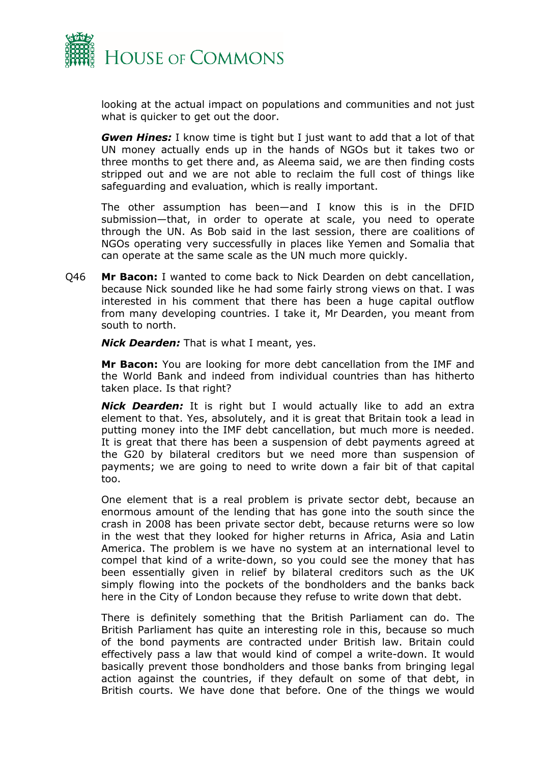

looking at the actual impact on populations and communities and not just what is quicker to get out the door.

*Gwen Hines:* I know time is tight but I just want to add that a lot of that UN money actually ends up in the hands of NGOs but it takes two or three months to get there and, as Aleema said, we are then finding costs stripped out and we are not able to reclaim the full cost of things like safeguarding and evaluation, which is really important.

The other assumption has been—and I know this is in the DFID submission—that, in order to operate at scale, you need to operate through the UN. As Bob said in the last session, there are coalitions of NGOs operating very successfully in places like Yemen and Somalia that can operate at the same scale as the UN much more quickly.

Q46 **Mr Bacon:** I wanted to come back to Nick Dearden on debt cancellation, because Nick sounded like he had some fairly strong views on that. I was interested in his comment that there has been a huge capital outflow from many developing countries. I take it, Mr Dearden, you meant from south to north.

*Nick Dearden:* That is what I meant, yes.

**Mr Bacon:** You are looking for more debt cancellation from the IMF and the World Bank and indeed from individual countries than has hitherto taken place. Is that right?

*Nick Dearden:* It is right but I would actually like to add an extra element to that. Yes, absolutely, and it is great that Britain took a lead in putting money into the IMF debt cancellation, but much more is needed. It is great that there has been a suspension of debt payments agreed at the G20 by bilateral creditors but we need more than suspension of payments; we are going to need to write down a fair bit of that capital too.

One element that is a real problem is private sector debt, because an enormous amount of the lending that has gone into the south since the crash in 2008 has been private sector debt, because returns were so low in the west that they looked for higher returns in Africa, Asia and Latin America. The problem is we have no system at an international level to compel that kind of a write-down, so you could see the money that has been essentially given in relief by bilateral creditors such as the UK simply flowing into the pockets of the bondholders and the banks back here in the City of London because they refuse to write down that debt.

There is definitely something that the British Parliament can do. The British Parliament has quite an interesting role in this, because so much of the bond payments are contracted under British law. Britain could effectively pass a law that would kind of compel a write-down. It would basically prevent those bondholders and those banks from bringing legal action against the countries, if they default on some of that debt, in British courts. We have done that before. One of the things we would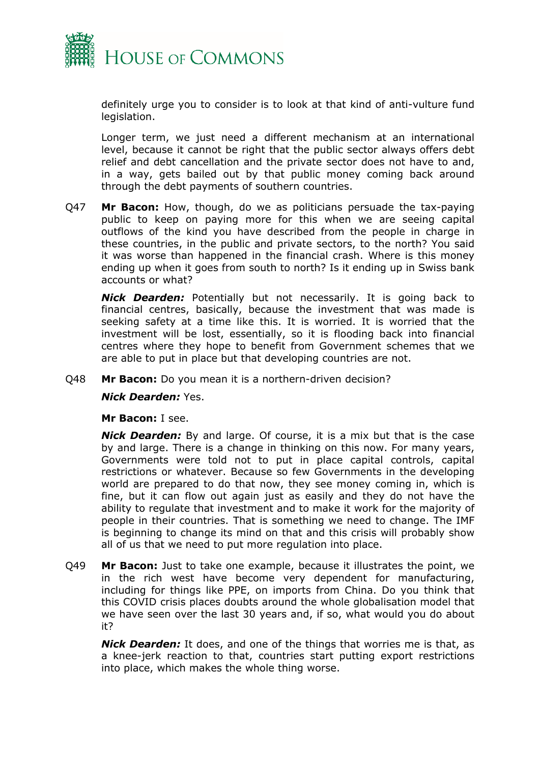

definitely urge you to consider is to look at that kind of anti-vulture fund legislation.

Longer term, we just need a different mechanism at an international level, because it cannot be right that the public sector always offers debt relief and debt cancellation and the private sector does not have to and, in a way, gets bailed out by that public money coming back around through the debt payments of southern countries.

Q47 **Mr Bacon:** How, though, do we as politicians persuade the tax-paying public to keep on paying more for this when we are seeing capital outflows of the kind you have described from the people in charge in these countries, in the public and private sectors, to the north? You said it was worse than happened in the financial crash. Where is this money ending up when it goes from south to north? Is it ending up in Swiss bank accounts or what?

*Nick Dearden:* Potentially but not necessarily. It is going back to financial centres, basically, because the investment that was made is seeking safety at a time like this. It is worried. It is worried that the investment will be lost, essentially, so it is flooding back into financial centres where they hope to benefit from Government schemes that we are able to put in place but that developing countries are not.

Q48 **Mr Bacon:** Do you mean it is a northern-driven decision?

*Nick Dearden:* Yes.

**Mr Bacon:** I see.

*Nick Dearden:* By and large. Of course, it is a mix but that is the case by and large. There is a change in thinking on this now. For many years, Governments were told not to put in place capital controls, capital restrictions or whatever. Because so few Governments in the developing world are prepared to do that now, they see money coming in, which is fine, but it can flow out again just as easily and they do not have the ability to regulate that investment and to make it work for the majority of people in their countries. That is something we need to change. The IMF is beginning to change its mind on that and this crisis will probably show all of us that we need to put more regulation into place.

Q49 **Mr Bacon:** Just to take one example, because it illustrates the point, we in the rich west have become very dependent for manufacturing, including for things like PPE, on imports from China. Do you think that this COVID crisis places doubts around the whole globalisation model that we have seen over the last 30 years and, if so, what would you do about it?

*Nick Dearden:* It does, and one of the things that worries me is that, as a knee-jerk reaction to that, countries start putting export restrictions into place, which makes the whole thing worse.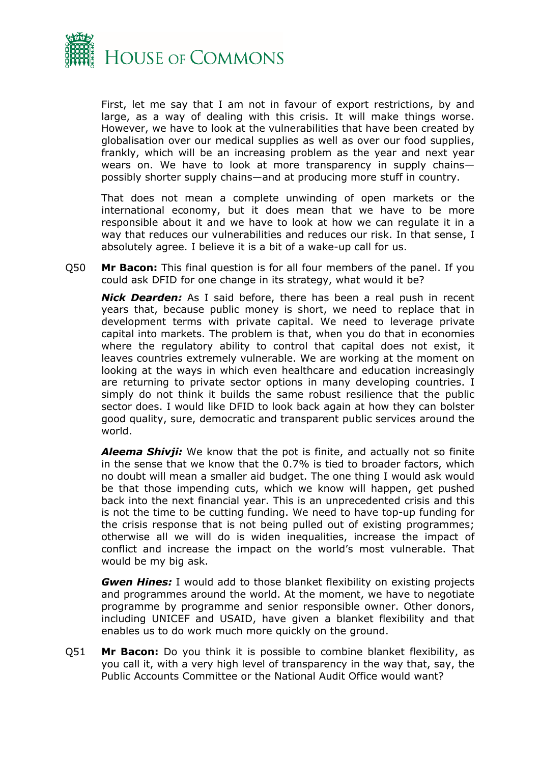

First, let me say that I am not in favour of export restrictions, by and large, as a way of dealing with this crisis. It will make things worse. However, we have to look at the vulnerabilities that have been created by globalisation over our medical supplies as well as over our food supplies, frankly, which will be an increasing problem as the year and next year wears on. We have to look at more transparency in supply chains possibly shorter supply chains—and at producing more stuff in country.

That does not mean a complete unwinding of open markets or the international economy, but it does mean that we have to be more responsible about it and we have to look at how we can regulate it in a way that reduces our vulnerabilities and reduces our risk. In that sense, I absolutely agree. I believe it is a bit of a wake-up call for us.

Q50 **Mr Bacon:** This final question is for all four members of the panel. If you could ask DFID for one change in its strategy, what would it be?

*Nick Dearden:* As I said before, there has been a real push in recent years that, because public money is short, we need to replace that in development terms with private capital. We need to leverage private capital into markets. The problem is that, when you do that in economies where the regulatory ability to control that capital does not exist, it leaves countries extremely vulnerable. We are working at the moment on looking at the ways in which even healthcare and education increasingly are returning to private sector options in many developing countries. I simply do not think it builds the same robust resilience that the public sector does. I would like DFID to look back again at how they can bolster good quality, sure, democratic and transparent public services around the world.

*Aleema Shivji:* We know that the pot is finite, and actually not so finite in the sense that we know that the 0.7% is tied to broader factors, which no doubt will mean a smaller aid budget. The one thing I would ask would be that those impending cuts, which we know will happen, get pushed back into the next financial year. This is an unprecedented crisis and this is not the time to be cutting funding. We need to have top-up funding for the crisis response that is not being pulled out of existing programmes; otherwise all we will do is widen inequalities, increase the impact of conflict and increase the impact on the world's most vulnerable. That would be my big ask.

*Gwen Hines:* I would add to those blanket flexibility on existing projects and programmes around the world. At the moment, we have to negotiate programme by programme and senior responsible owner. Other donors, including UNICEF and USAID, have given a blanket flexibility and that enables us to do work much more quickly on the ground.

Q51 **Mr Bacon:** Do you think it is possible to combine blanket flexibility, as you call it, with a very high level of transparency in the way that, say, the Public Accounts Committee or the National Audit Office would want?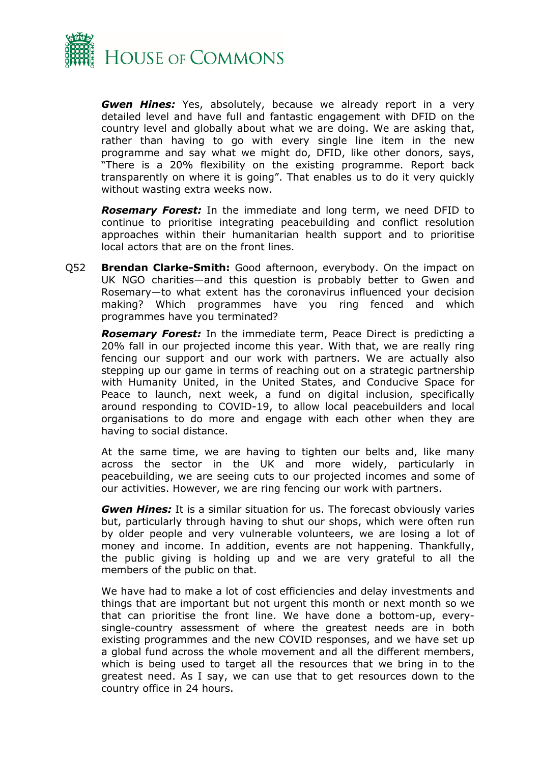

*Gwen Hines:* Yes, absolutely, because we already report in a very detailed level and have full and fantastic engagement with DFID on the country level and globally about what we are doing. We are asking that, rather than having to go with every single line item in the new programme and say what we might do, DFID, like other donors, says, "There is a 20% flexibility on the existing programme. Report back transparently on where it is going". That enables us to do it very quickly without wasting extra weeks now.

*Rosemary Forest:* In the immediate and long term, we need DFID to continue to prioritise integrating peacebuilding and conflict resolution approaches within their humanitarian health support and to prioritise local actors that are on the front lines.

Q52 **Brendan Clarke-Smith:** Good afternoon, everybody. On the impact on UK NGO charities—and this question is probably better to Gwen and Rosemary—to what extent has the coronavirus influenced your decision making? Which programmes have you ring fenced and which programmes have you terminated?

*Rosemary Forest:* In the immediate term, Peace Direct is predicting a 20% fall in our projected income this year. With that, we are really ring fencing our support and our work with partners. We are actually also stepping up our game in terms of reaching out on a strategic partnership with Humanity United, in the United States, and Conducive Space for Peace to launch, next week, a fund on digital inclusion, specifically around responding to COVID-19, to allow local peacebuilders and local organisations to do more and engage with each other when they are having to social distance.

At the same time, we are having to tighten our belts and, like many across the sector in the UK and more widely, particularly in peacebuilding, we are seeing cuts to our projected incomes and some of our activities. However, we are ring fencing our work with partners.

*Gwen Hines:* It is a similar situation for us. The forecast obviously varies but, particularly through having to shut our shops, which were often run by older people and very vulnerable volunteers, we are losing a lot of money and income. In addition, events are not happening. Thankfully, the public giving is holding up and we are very grateful to all the members of the public on that.

We have had to make a lot of cost efficiencies and delay investments and things that are important but not urgent this month or next month so we that can prioritise the front line. We have done a bottom-up, everysingle-country assessment of where the greatest needs are in both existing programmes and the new COVID responses, and we have set up a global fund across the whole movement and all the different members, which is being used to target all the resources that we bring in to the greatest need. As I say, we can use that to get resources down to the country office in 24 hours.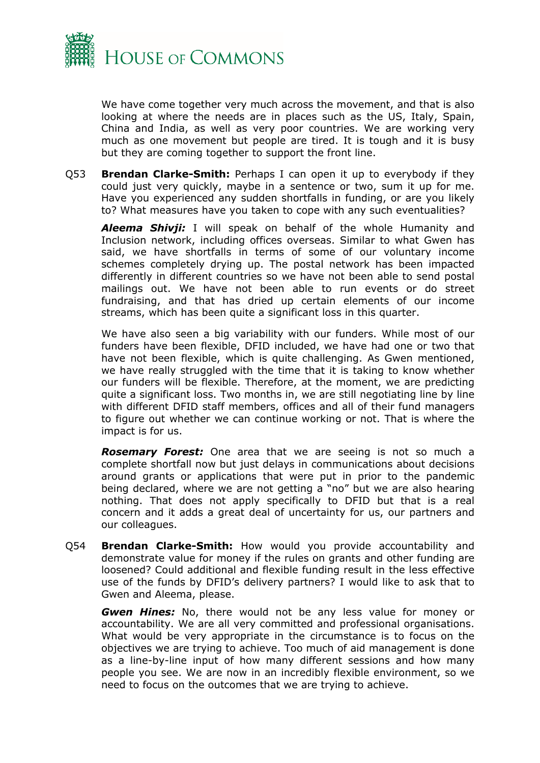

We have come together very much across the movement, and that is also looking at where the needs are in places such as the US, Italy, Spain, China and India, as well as very poor countries. We are working very much as one movement but people are tired. It is tough and it is busy but they are coming together to support the front line.

Q53 **Brendan Clarke-Smith:** Perhaps I can open it up to everybody if they could just very quickly, maybe in a sentence or two, sum it up for me. Have you experienced any sudden shortfalls in funding, or are you likely to? What measures have you taken to cope with any such eventualities?

*Aleema Shivji:* I will speak on behalf of the whole Humanity and Inclusion network, including offices overseas. Similar to what Gwen has said, we have shortfalls in terms of some of our voluntary income schemes completely drying up. The postal network has been impacted differently in different countries so we have not been able to send postal mailings out. We have not been able to run events or do street fundraising, and that has dried up certain elements of our income streams, which has been quite a significant loss in this quarter.

We have also seen a big variability with our funders. While most of our funders have been flexible, DFID included, we have had one or two that have not been flexible, which is quite challenging. As Gwen mentioned, we have really struggled with the time that it is taking to know whether our funders will be flexible. Therefore, at the moment, we are predicting quite a significant loss. Two months in, we are still negotiating line by line with different DFID staff members, offices and all of their fund managers to figure out whether we can continue working or not. That is where the impact is for us.

*Rosemary Forest:* One area that we are seeing is not so much a complete shortfall now but just delays in communications about decisions around grants or applications that were put in prior to the pandemic being declared, where we are not getting a "no" but we are also hearing nothing. That does not apply specifically to DFID but that is a real concern and it adds a great deal of uncertainty for us, our partners and our colleagues.

Q54 **Brendan Clarke-Smith:** How would you provide accountability and demonstrate value for money if the rules on grants and other funding are loosened? Could additional and flexible funding result in the less effective use of the funds by DFID's delivery partners? I would like to ask that to Gwen and Aleema, please.

*Gwen Hines:* No, there would not be any less value for money or accountability. We are all very committed and professional organisations. What would be very appropriate in the circumstance is to focus on the objectives we are trying to achieve. Too much of aid management is done as a line-by-line input of how many different sessions and how many people you see. We are now in an incredibly flexible environment, so we need to focus on the outcomes that we are trying to achieve.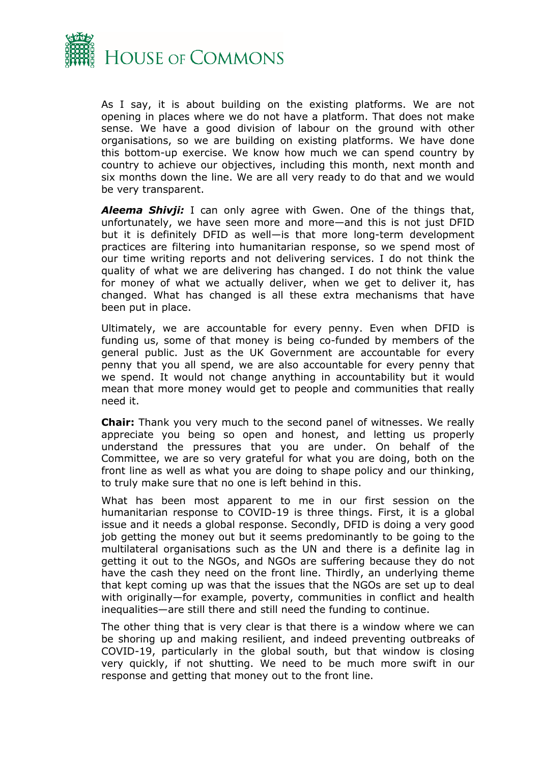

As I say, it is about building on the existing platforms. We are not opening in places where we do not have a platform. That does not make sense. We have a good division of labour on the ground with other organisations, so we are building on existing platforms. We have done this bottom-up exercise. We know how much we can spend country by country to achieve our objectives, including this month, next month and six months down the line. We are all very ready to do that and we would be very transparent.

*Aleema Shivji:* I can only agree with Gwen. One of the things that, unfortunately, we have seen more and more—and this is not just DFID but it is definitely DFID as well—is that more long-term development practices are filtering into humanitarian response, so we spend most of our time writing reports and not delivering services. I do not think the quality of what we are delivering has changed. I do not think the value for money of what we actually deliver, when we get to deliver it, has changed. What has changed is all these extra mechanisms that have been put in place.

Ultimately, we are accountable for every penny. Even when DFID is funding us, some of that money is being co-funded by members of the general public. Just as the UK Government are accountable for every penny that you all spend, we are also accountable for every penny that we spend. It would not change anything in accountability but it would mean that more money would get to people and communities that really need it.

**Chair:** Thank you very much to the second panel of witnesses. We really appreciate you being so open and honest, and letting us properly understand the pressures that you are under. On behalf of the Committee, we are so very grateful for what you are doing, both on the front line as well as what you are doing to shape policy and our thinking, to truly make sure that no one is left behind in this.

What has been most apparent to me in our first session on the humanitarian response to COVID-19 is three things. First, it is a global issue and it needs a global response. Secondly, DFID is doing a very good job getting the money out but it seems predominantly to be going to the multilateral organisations such as the UN and there is a definite lag in getting it out to the NGOs, and NGOs are suffering because they do not have the cash they need on the front line. Thirdly, an underlying theme that kept coming up was that the issues that the NGOs are set up to deal with originally—for example, poverty, communities in conflict and health inequalities—are still there and still need the funding to continue.

The other thing that is very clear is that there is a window where we can be shoring up and making resilient, and indeed preventing outbreaks of COVID-19, particularly in the global south, but that window is closing very quickly, if not shutting. We need to be much more swift in our response and getting that money out to the front line.